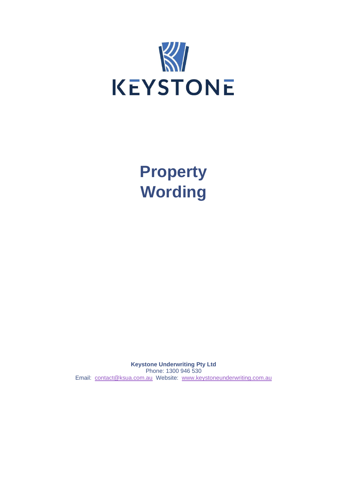

**Property Wording**

**Keystone Underwriting Pty Ltd** Phone: 1300 946 530 Email: [contact@ksua.com.au](mailto:contact@ksua.com.au) Website: [www.keystoneunderwriting.com.au](http://www.keystoneunderwriting.com.au/)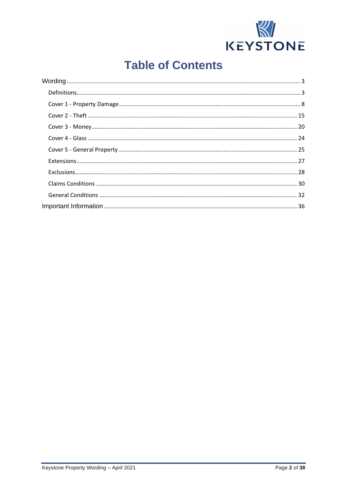

# **Table of Contents**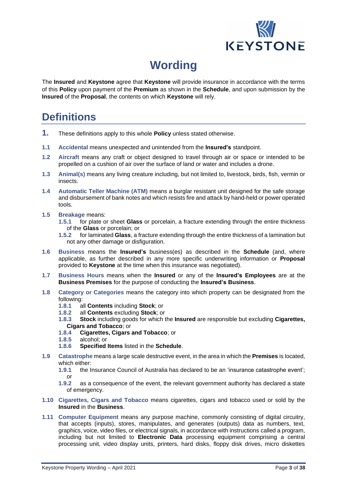

# **Wording**

<span id="page-2-0"></span>The **Insured** and **Keystone** agree that **Keystone** will provide insurance in accordance with the terms of this **Policy** upon payment of the **Premium** as shown in the **Schedule**, and upon submission by the **Insured** of the **Proposal**, the contents on which **Keystone** will rely.

# <span id="page-2-1"></span>**Definitions**

- **1.** These definitions apply to this whole **Policy** unless stated otherwise.
- **1.1 Accidental** means unexpected and unintended from the **Insured's** standpoint.
- **1.2 Aircraft** means any craft or object designed to travel through air or space or intended to be propelled on a cushion of air over the surface of land or water and includes a drone.
- **1.3 Animal(s)** means any living creature including, but not limited to, livestock, birds, fish, vermin or insects.
- **1.4 Automatic Teller Machine (ATM)** means a burglar resistant unit designed for the safe storage and disbursement of bank notes and which resists fire and attack by hand-held or power operated tools.
- **1.5 Breakage** means:
	- **1.5.1** for plate or sheet **Glass** or porcelain, a fracture extending through the entire thickness of the **Glass** or porcelain; or
	- **1.5.2** for laminated **Glass**, a fracture extending through the entire thickness of a lamination but not any other damage or disfiguration.
- **1.6 Business** means the **Insured's** business(es) as described in the **Schedule** (and, where applicable, as further described in any more specific underwriting information or **Proposal** provided to **Keystone** at the time when this insurance was negotiated).
- **1.7 Business Hours** means when the **Insured** or any of the **Insured's Employees** are at the **Business Premises** for the purpose of conducting the **Insured's Business**.
- **1.8 Category or Categories** means the category into which property can be designated from the following:
	- **1.8.1** all **Contents** including **Stock**; or
	- **1.8.2** all **Contents** excluding **Stock**; or
	- **1.8.3 Stock** including goods for which the **Insured** are responsible but excluding **Cigarettes, Cigars and Tobacco**; or
	- **1.8.4 Cigarettes, Cigars and Tobacco**; or
	- **1.8.5** alcohol; or
	- **1.8.6 Specified Items** listed in the **Schedule**.
- **1.9 Catastrophe** means a large scale destructive event, in the area in which the **Premises** is located, which either:
	- **1.9.1** the Insurance Council of Australia has declared to be an 'insurance catastrophe event'; or
	- **1.9.2** as a consequence of the event, the relevant government authority has declared a state of emergency.
- **1.10 Cigarettes, Cigars and Tobacco** means cigarettes, cigars and tobacco used or sold by the **Insured** in the **Business**.
- **1.11 Computer Equipment** means any purpose machine, commonly consisting of digital circuitry, that accepts (inputs), stores, manipulates, and generates (outputs) data as numbers, text, graphics, voice, video files, or electrical signals, in accordance with instructions called a program, including but not limited to **Electronic Data** processing equipment comprising a central processing unit, video display units, printers, hard disks, floppy disk drives, micro diskettes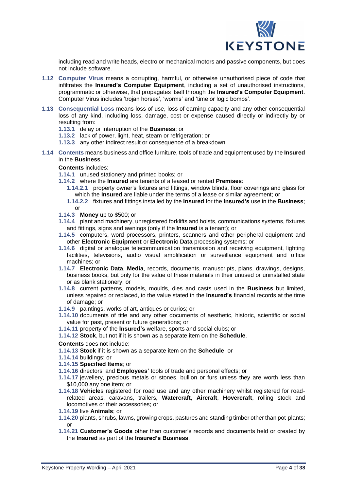

including read and write heads, electro or mechanical motors and passive components, but does not include software.

- **1.12 Computer Virus** means a corrupting, harmful, or otherwise unauthorised piece of code that infiltrates the **Insured's Computer Equipment**, including a set of unauthorised instructions, programmatic or otherwise, that propagates itself through the **Insured's Computer Equipment**. Computer Virus includes 'trojan horses', 'worms' and 'time or logic bombs'.
- **1.13 Consequential Loss** means loss of use, loss of earning capacity and any other consequential loss of any kind, including loss, damage, cost or expense caused directly or indirectly by or resulting from:
	- **1.13.1** delay or interruption of the **Business**; or
	- **1.13.2** lack of power, light, heat, steam or refrigeration; or
	- **1.13.3** any other indirect result or consequence of a breakdown.
- **1.14 Contents** means business and office furniture, tools of trade and equipment used by the **Insured** in the **Business**.

**Contents** includes:

- **1.14.1** unused stationery and printed books; or
- **1.14.2** where the **Insured** are tenants of a leased or rented **Premises**:
	- **1.14.2.1** property owner's fixtures and fittings, window blinds, floor coverings and glass for which the **Insured** are liable under the terms of a lease or similar agreement; or
	- **1.14.2.2** fixtures and fittings installed by the **Insured** for the **Insured's** use in the **Business**; or
- **1.14.3 Money** up to \$500; or
- **1.14.4** plant and machinery, unregistered forklifts and hoists, communications systems, fixtures and fittings, signs and awnings (only if the **Insured** is a tenant); or
- **1.14.5** computers, word processors, printers, scanners and other peripheral equipment and other **Electronic Equipment** or **Electronic Data** processing systems; or
- **1.14.6** digital or analogue telecommunication transmission and receiving equipment, lighting facilities, televisions, audio visual amplification or surveillance equipment and office machines; or
- **1.14.7 Electronic Data**, **Media**, records, documents, manuscripts, plans, drawings, designs, business books, but only for the value of these materials in their unused or uninstalled state or as blank stationery; or
- **1.14.8** current patterns, models, moulds, dies and casts used in the **Business** but limited, unless repaired or replaced, to the value stated in the **Insured's** financial records at the time of damage; or
- **1.14.9** paintings, works of art, antiques or curios; or
- **1.14.10** documents of title and any other documents of aesthetic, historic, scientific or social value for past, present or future generations; or
- **1.14.11** property of the **Insured's** welfare, sports and social clubs; or
- **1.14.12 Stock**, but not if it is shown as a separate item on the **Schedule**.

**Contents** does not include:

- **1.14.13 Stock** if it is shown as a separate item on the **Schedule**; or
- **1.14.14** buildings; or
- **1.14.15 Specified Items**; or
- **1.14.16** directors' and **Employees'** tools of trade and personal effects; or
- **1.14.17** jewellery, precious metals or stones, bullion or furs unless they are worth less than \$10,000 any one item; or
- **1.14.18 Vehicle**s registered for road use and any other machinery whilst registered for roadrelated areas, caravans, trailers, **Watercraft**, **Aircraft**, **Hovercraft**, rolling stock and locomotives or their accessories; or
- **1.14.19** live **Animals**; or
- **1.14.20** plants, shrubs, lawns, growing crops, pastures and standing timber other than pot-plants; or
- **1.14.21 Customer's Goods** other than customer's records and documents held or created by the **Insured** as part of the **Insured's Business**.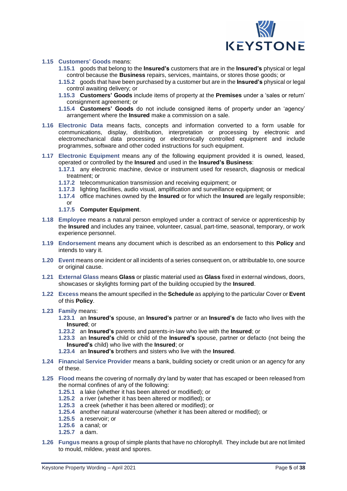

### **1.15 Customers' Goods** means:

- **1.15.1** goods that belong to the **Insured's** customers that are in the **Insured's** physical or legal control because the **Business** repairs, services, maintains, or stores those goods; or
- **1.15.2** goods that have been purchased by a customer but are in the **Insured's** physical or legal control awaiting delivery; or
- **1.15.3 Customers' Goods** include items of property at the **Premises** under a 'sales or return' consignment agreement; or
- **1.15.4 Customers' Goods** do not include consigned items of property under an 'agency' arrangement where the **Insured** make a commission on a sale.
- **1.16 Electronic Data** means facts, concepts and information converted to a form usable for communications, display, distribution, interpretation or processing by electronic and electromechanical data processing or electronically controlled equipment and include programmes, software and other coded instructions for such equipment.
- **1.17 Electronic Equipment** means any of the following equipment provided it is owned, leased, operated or controlled by the **Insured** and used in the **Insured's Business**:
	- **1.17.1** any electronic machine, device or instrument used for research, diagnosis or medical treatment; or
	- **1.17.2** telecommunication transmission and receiving equipment; or
	- **1.17.3** lighting facilities, audio visual, amplification and surveillance equipment; or
	- **1.17.4** office machines owned by the **Insured** or for which the **Insured** are legally responsible;
	- or **1.17.5 Computer Equipment**.
- **1.18 Employee** means a natural person employed under a contract of service or apprenticeship by the **Insured** and includes any trainee, volunteer, casual, part-time, seasonal, temporary, or work experience personnel.
- **1.19 Endorsement** means any document which is described as an endorsement to this **Policy** and intends to vary it.
- **1.20 Event** means one incident or all incidents of a series consequent on, or attributable to, one source or original cause.
- **1.21 External Glass** means **Glass** or plastic material used as **Glass** fixed in external windows, doors, showcases or skylights forming part of the building occupied by the **Insured**.
- **1.22 Excess** means the amount specified in the **Schedule** as applying to the particular Cover or **Event** of this **Policy**.
- **1.23 Family** means:

**1.23.1** an **Insured's** spouse, an **Insured's** partner or an **Insured's** de facto who lives with the **Insured**; or

- **1.23.2** an **Insured's** parents and parents-in-law who live with the **Insured**; or
- **1.23.3** an **Insured's** child or child of the **Insured's** spouse, partner or defacto (not being the **Insured's** child) who live with the **Insured**; or
- **1.23.4** an **Insured's** brothers and sisters who live with the **Insured**.
- **1.24 Financial Service Provider** means a bank, building society or credit union or an agency for any of these.
- **1.25 Flood** means the covering of normally dry land by water that has escaped or been released from the normal confines of any of the following:
	- **1.25.1** a lake (whether it has been altered or modified); or
	- **1.25.2** a river (whether it has been altered or modified); or
	- **1.25.3** a creek (whether it has been altered or modified); or
	- **1.25.4** another natural watercourse (whether it has been altered or modified); or
	- **1.25.5** a reservoir; or
	- **1.25.6** a canal; or
	- **1.25.7** a dam.
- **1.26 Fungus** means a group of simple plants that have no chlorophyll. They include but are not limited to mould, mildew, yeast and spores.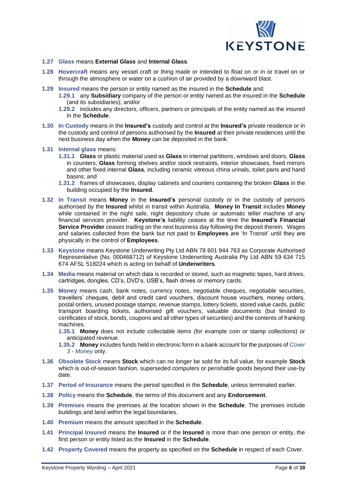

- **1.27 Glass** means **External Glass** and **Internal Glass**.
- **1.28 Hovercraft** means any vessel craft or thing made or intended to float on or in or travel on or through the atmosphere or water on a cushion of air provided by a downward blast.
- **1.29 Insured** means the person or entity named as the insured in the **Schedule** and:
	- **1.29.1** any **Subsidiary** company of the person or entity named as the insured in the **Schedule** (and its subsidiaries); and/or
	- **1.29.2** includes any directors, officers, partners or principals of the entity named as the insured in the **Schedule**.
- **1.30 In Custody** means in the **Insured's** custody and control at the **Insured's** private residence or in the custody and control of persons authorised by the **Insured** at their private residences until the next business day when the **Money** can be deposited in the bank.
- **1.31 Internal glass** means:
	- **1.31.1 Glass** or plastic material used as **Glass** in internal partitions, windows and doors, **Glass** in counters, **Glass** forming shelves and/or stock restraints, interior showcases, fixed mirrors and other fixed internal **Glass**, including ceramic vitreous china urinals, toilet pans and hand basins; and
	- **1.31.2** frames of showcases, display cabinets and counters containing the broken **Glass** in the building occupied by the **Insured**.
- **1.32 In Transit** means **Money** in the **Insured's** personal custody or in the custody of persons authorised by the **Insured** whilst in transit within Australia. **Money In Transit** includes **Money** while contained in the night safe, night depository chute or automatic teller machine of any financial services provider. **Keystone's** liability ceases at the time the **Insured's Financial Service Provider** ceases trading on the next business day following the deposit therein. Wages and salaries collected from the bank but not paid to **Employees** are 'In Transit' until they are physically in the control of **Employees**.
- **1.33 Keystone** means Keystone Underwriting Pty Ltd ABN 78 601 944 763 as Corporate Authorised Representative (No. 000468712) of Keystone Underwriting Australia Pty Ltd ABN 59 634 715 674 AFSL 518224 which is acting on behalf of **Underwriters**.
- **1.34 Media** means material on which data is recorded or stored, such as magnetic tapes, hard drives, cartridges, dongles, CD's, DVD's, USB's, flash drives or memory cards.
- **1.35 Money** means cash, bank notes, currency notes, negotiable cheques, negotiable securities, travellers' cheques, debit and credit card vouchers, discount house vouchers, money orders, postal orders, unused postage stamps, revenue stamps, lottery tickets, stored value cards, public transport boarding tickets, authorised gift vouchers, valuable documents (but limited to certificates of stock, bonds, coupons and all other types of securities) and the contents of franking machines.
	- **1.35.1 Money** does not include collectable items (for example coin or stamp collections) or anticipated revenue.
	- **1.35.2 Money**includes funds held in electronic form in a bank account for the purposes of *Cover 3 - Money* only.
- **1.36 Obsolete Stock** means **Stock** which can no longer be sold for its full value, for example **Stock** which is out-of-season fashion, superseded computers or perishable goods beyond their use-by date.
- **1.37 Period of Insurance** means the period specified in the **Schedule**, unless terminated earlier.
- **1.38 Policy** means the **Schedule**, the terms of this document and any **Endorsement**.
- **1.39 Premises** means the premises at the location shown in the **Schedule**. The premises include buildings and land within the legal boundaries.
- **1.40 Premium** means the amount specified in the **Schedule**.
- **1.41 Principal Insured** means the **Insured** or if the **Insured** is more than one person or entity, the first person or entity listed as the **Insured** in the **Schedule**.
- **1.42 Property Covered** means the property as specified on the **Schedule** in respect of each Cover.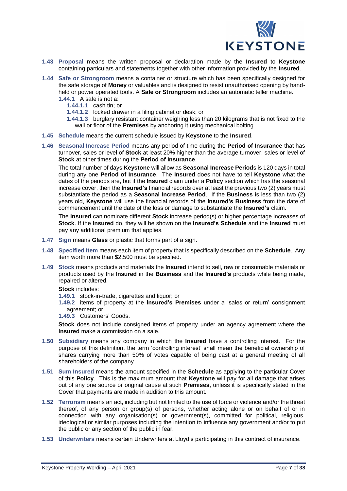

- **1.43 Proposal** means the written proposal or declaration made by the **Insured** to **Keystone** containing particulars and statements together with other information provided by the **Insured**.
- **1.44 Safe or Strongroom** means a container or structure which has been specifically designed for the safe storage of **Money** or valuables and is designed to resist unauthorised opening by handheld or power operated tools. A **Safe or Strongroom** includes an automatic teller machine.
	- **1.44.1** A safe is not a:
		- **1.44.1.1** cash tin; or
		- **1.44.1.2** locked drawer in a filing cabinet or desk; or
		- **1.44.1.3** burglary resistant container weighing less than 20 kilograms that is not fixed to the wall or floor of the **Premises** by anchoring it using mechanical bolting.
- **1.45 Schedule** means the current schedule issued by **Keystone** to the **Insured**.
- **1.46 Seasonal Increase Period** means any period of time during the **Period of Insurance** that has turnover, sales or level of **Stock** at least 20% higher than the average turnover, sales or level of **Stock** at other times during the **Period of Insurance**.

The total number of days **Keystone** will allow as **Seasonal Increase Period**s is 120 days in total during any one **Period of Insurance**. The **Insured** does not have to tell **Keystone** what the dates of the periods are, but if the **Insured** claim under a **Policy** section which has the seasonal increase cover, then the **Insured's** financial records over at least the previous two (2) years must substantiate the period as a **Seasonal Increase Period**. If the **Business** is less than two (2) years old, **Keystone** will use the financial records of the **Insured's Business** from the date of commencement until the date of the loss or damage to substantiate the **Insured's** claim.

The **Insured** can nominate different **Stock** increase period(s) or higher percentage increases of **Stock**. If the **Insured** do, they will be shown on the **Insured's Schedule** and the **Insured** must pay any additional premium that applies.

- **1.47 Sign** means **Glass** or plastic that forms part of a sign.
- **1.48 Specified Item** means each item of property that is specifically described on the **Schedule**. Any item worth more than \$2,500 must be specified.
- **1.49 Stock** means products and materials the **Insured** intend to sell, raw or consumable materials or products used by the **Insured** in the **Business** and the **Insured's** products while being made, repaired or altered.

**Stock** includes:

- **1.49.1** stock-in-trade, cigarettes and liquor; or
- **1.49.2** items of property at the **Insured's Premises** under a 'sales or return' consignment agreement; or
- **1.49.3** Customers' Goods.

**Stock** does not include consigned items of property under an agency agreement where the **Insured** make a commission on a sale.

- **1.50 Subsidiary** means any company in which the **Insured** have a controlling interest. For the purpose of this definition, the term 'controlling interest' shall mean the beneficial ownership of shares carrying more than 50% of votes capable of being cast at a general meeting of all shareholders of the company.
- **1.51 Sum Insured** means the amount specified in the **Schedule** as applying to the particular Cover of this **Policy**. This is the maximum amount that **Keystone** will pay for all damage that arises out of any one source or original cause at such **Premises**, unless it is specifically stated in the Cover that payments are made in addition to this amount.
- **1.52 Terrorism** means an act, including but not limited to the use of force or violence and/or the threat thereof, of any person or group(s) of persons, whether acting alone or on behalf of or in connection with any organisation(s) or government(s), committed for political, religious, ideological or similar purposes including the intention to influence any government and/or to put the public or any section of the public in fear.
- **1.53 Underwriters** means certain Underwriters at Lloyd's participating in this contract of insurance.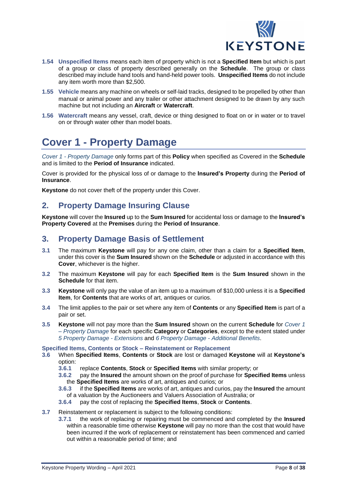

- **1.54 Unspecified Items** means each item of property which is not a **Specified Item** but which is part of a group or class of property described generally on the **Schedule**. The group or class described may include hand tools and hand-held power tools. **Unspecified Items** do not include any item worth more than \$2,500.
- **1.55 Vehicle** means any machine on wheels or self-laid tracks, designed to be propelled by other than manual or animal power and any trailer or other attachment designed to be drawn by any such machine but not including an **Aircraft** or **Watercraft**.
- **1.56 Watercraft** means any vessel, craft, device or thing designed to float on or in water or to travel on or through water other than model boats.

# <span id="page-7-0"></span>**Cover 1 - Property Damage**

*Cover 1 - Property Damage* only forms part of this **Policy** when specified as Covered in the **Schedule** and is limited to the **Period of Insurance** indicated.

Cover is provided for the physical loss of or damage to the **Insured's Property** during the **Period of Insurance**.

**Keystone** do not cover theft of the property under this Cover.

# **2. Property Damage Insuring Clause**

**Keystone** will cover the **Insured** up to the **Sum Insured** for accidental loss or damage to the **Insured's Property Covered** at the **Premises** during the **Period of Insurance**.

# **3. Property Damage Basis of Settlement**

- **3.1** The maximum **Keystone** will pay for any one claim, other than a claim for a **Specified Item**, under this cover is the **Sum Insured** shown on the **Schedule** or adjusted in accordance with this **Cover**, whichever is the higher.
- **3.2** The maximum **Keystone** will pay for each **Specified Item** is the **Sum Insured** shown in the **Schedule** for that item.
- **3.3 Keystone** will only pay the value of an item up to a maximum of \$10,000 unless it is a **Specified Item**, for **Contents** that are works of art, antiques or curios.
- **3.4** The limit applies to the pair or set where any item of **Contents** or any **Specified Item** is part of a pair or set.
- **3.5 Keystone** will not pay more than the **Sum Insured** shown on the current **Schedule** for *Cover 1 – Property Damage* for each specific **Category** or **Categories**, except to the extent stated under *5 Property Damage - Extensions* and *6 Property Damage - Additional Benefits*.

### **Specified Items, Contents or Stock – Reinstatement or Replacement**

- **3.6** When **Specified Items**, **Contents** or **Stock** are lost or damaged **Keystone** will at **Keystone's** option:
	- **3.6.1** replace **Contents**, **Stock** or **Specified Items** with similar property; or
	- **3.6.2** pay the **Insured** the amount shown on the proof of purchase for **Specified Items** unless the **Specified Items** are works of art, antiques and curios; or
	- **3.6.3** if the **Specified Items** are works of art, antiques and curios, pay the **Insured** the amount of a valuation by the Auctioneers and Valuers Association of Australia; or
	- **3.6.4** pay the cost of replacing the **Specified Items**, **Stock** or **Contents**.
- **3.7** Reinstatement or replacement is subject to the following conditions:
	- **3.7.1** the work of replacing or repairing must be commenced and completed by the **Insured** within a reasonable time otherwise **Keystone** will pay no more than the cost that would have been incurred if the work of replacement or reinstatement has been commenced and carried out within a reasonable period of time; and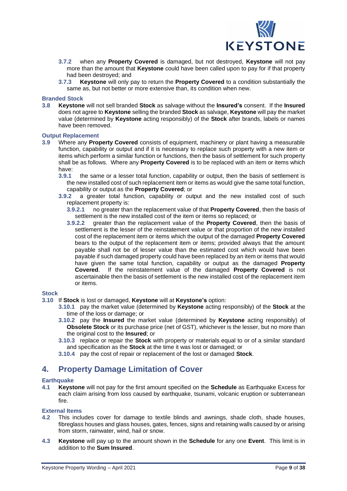

- **3.7.2** when any **Property Covered** is damaged, but not destroyed, **Keystone** will not pay more than the amount that **Keystone** could have been called upon to pay for if that property had been destroyed; and
- **3.7.3 Keystone** will only pay to return the **Property Covered** to a condition substantially the same as, but not better or more extensive than, its condition when new.

### **Branded Stock**

**3.8 Keystone** will not sell branded **Stock** as salvage without the **Insured's** consent. If the **Insured** does not agree to **Keystone** selling the branded **Stock** as salvage, **Keystone** will pay the market value (determined by **Keystone** acting responsibly) of the **Stock** after brands, labels or names have been removed.

### **Output Replacement**

- **3.9** Where any **Property Covered** consists of equipment, machinery or plant having a measurable function, capability or output and if it is necessary to replace such property with a new item or items which perform a similar function or functions, then the basis of settlement for such property shall be as follows. Where any **Property Covered** is to be replaced with an item or items which have:<br>3.9.1
	- **3.9.1** the same or a lesser total function, capability or output, then the basis of settlement is the new installed cost of such replacement item or items as would give the same total function, capability or output as the **Property Covered**; or
	- **3.9.2** a greater total function, capability or output and the new installed cost of such replacement property is:
		- **3.9.2.1** no greater than the replacement value of that **Property Covered**, then the basis of settlement is the new installed cost of the item or items so replaced; or
		- **3.9.2.2** greater than the replacement value of the **Property Covered**, then the basis of settlement is the lesser of the reinstatement value or that proportion of the new installed cost of the replacement item or items which the output of the damaged **Property Covered** bears to the output of the replacement item or items; provided always that the amount payable shall not be of lesser value than the estimated cost which would have been payable if such damaged property could have been replaced by an item or items that would have given the same total function, capability or output as the damaged **Property Covered**. If the reinstatement value of the damaged **Property Covered** is not ascertainable then the basis of settlement is the new installed cost of the replacement item or items.

### **Stock**

- **3.10** If **Stock** is lost or damaged, **Keystone** will at **Keystone's** option:
	- **3.10.1** pay the market value (determined by **Keystone** acting responsibly) of the **Stock** at the time of the loss or damage; or
	- **3.10.2** pay the **Insured** the market value (determined by **Keystone** acting responsibly) of **Obsolete Stock** or its purchase price (net of GST), whichever is the lesser, but no more than the original cost to the **Insured**; or
	- **3.10.3** replace or repair the **Stock** with property or materials equal to or of a similar standard and specification as the **Stock** at the time it was lost or damaged; or
	- **3.10.4** pay the cost of repair or replacement of the lost or damaged **Stock**.

## **4. Property Damage Limitation of Cover**

### **Earthquake**

**4.1 Keystone** will not pay for the first amount specified on the **Schedule** as Earthquake Excess for each claim arising from loss caused by earthquake, tsunami, volcanic eruption or subterranean fire.

### **External Items**

- **4.2** This includes cover for damage to textile blinds and awnings, shade cloth, shade houses, fibreglass houses and glass houses, gates, fences, signs and retaining walls caused by or arising from storm, rainwater, wind, hail or snow.
- **4.3 Keystone** will pay up to the amount shown in the **Schedule** for any one **Event**. This limit is in addition to the **Sum Insured**.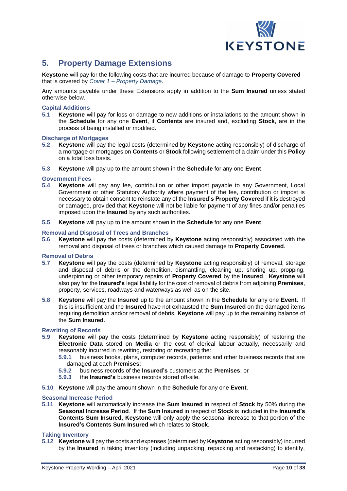

# **5. Property Damage Extensions**

**Keystone** will pay for the following costs that are incurred because of damage to **Property Covered** that is covered by *Cover 1 – Property Damage*.

Any amounts payable under these Extensions apply in addition to the **Sum Insured** unless stated otherwise below.

### **Capital Additions**

**5.1 Keystone** will pay for loss or damage to new additions or installations to the amount shown in the **Schedule** for any one **Event**, if **Contents** are insured and, excluding **Stock**, are in the process of being installed or modified.

### **Discharge of Mortgages**

- **5.2 Keystone** will pay the legal costs (determined by **Keystone** acting responsibly) of discharge of a mortgage or mortgages on **Contents** or **Stock** following settlement of a claim under this **Policy** on a total loss basis.
- **5.3 Keystone** will pay up to the amount shown in the **Schedule** for any one **Event**.

### **Government Fees**

- **5.4 Keystone** will pay any fee, contribution or other impost payable to any Government, Local Government or other Statutory Authority where payment of the fee, contribution or impost is necessary to obtain consent to reinstate any of the **Insured's Property Covered** if it is destroyed or damaged, provided that **Keystone** will not be liable for payment of any fines and/or penalties imposed upon the **Insured** by any such authorities.
- **5.5 Keystone** will pay up to the amount shown in the **Schedule** for any one **Event**.

### **Removal and Disposal of Trees and Branches**

**5.6 Keystone** will pay the costs (determined by **Keystone** acting responsibly) associated with the removal and disposal of trees or branches which caused damage to **Property Covered**.

### **Removal of Debris**

- **5.7 Keystone** will pay the costs (determined by **Keystone** acting responsibly) of removal, storage and disposal of debris or the demolition, dismantling, cleaning up, shoring up, propping, underpinning or other temporary repairs of **Property Covered** by the **Insured**. **Keystone** will also pay for the **Insured's** legal liability for the cost of removal of debris from adjoining **Premises**, property, services, roadways and waterways as well as on the site.
- **5.8 Keystone** will pay the **Insured** up to the amount shown in the **Schedule** for any one **Event**. If this is insufficient and the **Insured** have not exhausted the **Sum Insured** on the damaged items requiring demolition and/or removal of debris, **Keystone** will pay up to the remaining balance of the **Sum Insured**.

### **Rewriting of Records**

- **5.9 Keystone** will pay the costs (determined by **Keystone** acting responsibly) of restoring the **Electronic Data** stored on **Media** or the cost of clerical labour actually, necessarily and reasonably incurred in rewriting, restoring or recreating the:
	- **5.9.1** business books, plans, computer records, patterns and other business records that are damaged at each **Premises**;
	- **5.9.2** business records of the **Insured's** customers at the **Premises**; or
	- **5.9.3** the **Insured's** business records stored off-site.
- **5.10 Keystone** will pay the amount shown in the **Schedule** for any one **Event**.

### **Seasonal Increase Period**

**5.11 Keystone** will automatically increase the **Sum Insured** in respect of **Stock** by 50% during the **Seasonal Increase Period**. If the **Sum Insured** in respect of **Stock** is included in the **Insured's Contents Sum Insured**, **Keystone** will only apply the seasonal increase to that portion of the **Insured's Contents Sum Insured** which relates to **Stock**.

### **Taking Inventory**

**5.12 Keystone** will pay the costs and expenses (determined by **Keystone** acting responsibly) incurred by the **Insured** in taking inventory (including unpacking, repacking and restacking) to identify,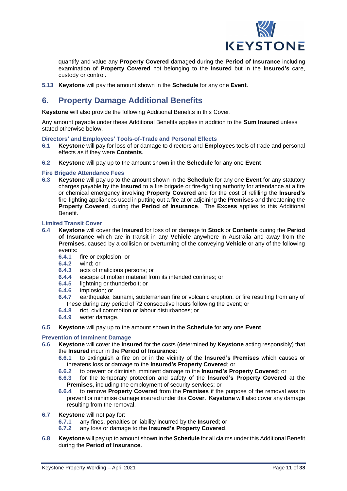

quantify and value any **Property Covered** damaged during the **Period of Insurance** including examination of **Property Covered** not belonging to the **Insured** but in the **Insured's** care, custody or control.

**5.13 Keystone** will pay the amount shown in the **Schedule** for any one **Event**.

# **6. Property Damage Additional Benefits**

**Keystone** will also provide the following Additional Benefits in this Cover.

Any amount payable under these Additional Benefits applies in addition to the **Sum Insured** unless stated otherwise below.

### **Directors' and Employees' Tools-of-Trade and Personal Effects**

- **6.1 Keystone** will pay for loss of or damage to directors and **Employee**s tools of trade and personal effects as if they were **Contents**.
- **6.2 Keystone** will pay up to the amount shown in the **Schedule** for any one **Event**.

### **Fire Brigade Attendance Fees**

**6.3 Keystone** will pay up to the amount shown in the **Schedule** for any one **Event** for any statutory charges payable by the **Insured** to a fire brigade or fire-fighting authority for attendance at a fire or chemical emergency involving **Property Covered** and for the cost of refilling the **Insured's** fire-fighting appliances used in putting out a fire at or adjoining the **Premises** and threatening the **Property Covered**, during the **Period of Insurance**. The **Excess** applies to this Additional Benefit.

### **Limited Transit Cover**

- **6.4 Keystone** will cover the **Insured** for loss of or damage to **Stock** or **Contents** during the **Period of Insurance** which are in transit in any **Vehicle** anywhere in Australia and away from the **Premises**, caused by a collision or overturning of the conveying **Vehicle** or any of the following events:
	- **6.4.1** fire or explosion; or
	- **6.4.2** wind; or
	- **6.4.3** acts of malicious persons; or
	- **6.4.4** escape of molten material from its intended confines; or
	- **6.4.5** lightning or thunderbolt; or **6.4.6** implosion: or
	- **6.4.6** implosion; or
	- **6.4.7** earthquake, tsunami, subterranean fire or volcanic eruption, or fire resulting from any of these during any period of 72 consecutive hours following the event; or
	- **6.4.8** riot, civil commotion or labour disturbances; or
	- **6.4.9** water damage.
- **6.5 Keystone** will pay up to the amount shown in the **Schedule** for any one **Event**.

### **Prevention of Imminent Damage**

- **6.6 Keystone** will cover the **Insured** for the costs (determined by **Keystone** acting responsibly) that the **Insured** incur in the **Period of Insurance**:
	- **6.6.1** to extinguish a fire on or in the vicinity of the **Insured's Premises** which causes or threatens loss or damage to the **Insured's Property Covered**; or
	- **6.6.2** to prevent or diminish imminent damage to the **Insured's Property Covered**; or
	- **6.6.3** for the temporary protection and safety of the **Insured's Property Covered** at the **Premises**, including the employment of security services; or
	- **6.6.4** to remove **Property Covered** from the **Premises** if the purpose of the removal was to prevent or minimise damage insured under this **Cover**. **Keystone** will also cover any damage resulting from the removal.
- **6.7 Keystone** will not pay for:
	- **6.7.1** any fines, penalties or liability incurred by the **Insured**; or
	- **6.7.2** any loss or damage to the **Insured's Property Covered**.
- **6.8 Keystone** will pay up to amount shown in the **Schedule** for all claims under this Additional Benefit during the **Period of Insurance**.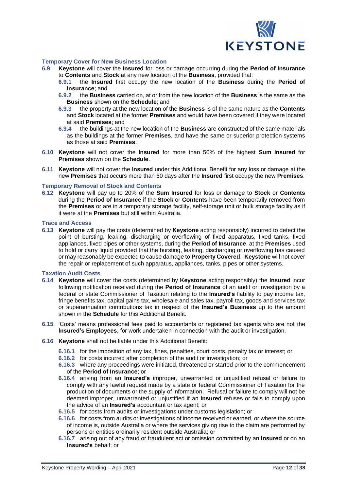

### **Temporary Cover for New Business Location**

- **6.9 Keystone** will cover the **Insured** for loss or damage occurring during the **Period of Insurance** to **Contents** and **Stock** at any new location of the **Business**, provided that:
	- **6.9.1** the **Insured** first occupy the new location of the **Business** during the **Period of Insurance**; and
	- **6.9.2** the **Business** carried on, at or from the new location of the **Business** is the same as the **Business** shown on the **Schedule**; and
	- **6.9.3** the property at the new location of the **Business** is of the same nature as the **Contents** and **Stock** located at the former **Premises** and would have been covered if they were located at said **Premises**; and
	- **6.9.4** the buildings at the new location of the **Business** are constructed of the same materials as the buildings at the former **Premises**, and have the same or superior protection systems as those at said **Premises**.
- **6.10 Keystone** will not cover the **Insured** for more than 50% of the highest **Sum Insured** for **Premises** shown on the **Schedule**.
- **6.11 Keystone** will not cover the **Insured** under this Additional Benefit for any loss or damage at the new **Premises** that occurs more than 60 days after the **Insured** first occupy the new **Premises**.

### **Temporary Removal of Stock and Contents**

**6.12 Keystone** will pay up to 20% of the **Sum Insured** for loss or damage to **Stock** or **Contents** during the **Period of Insurance** if the **Stock** or **Contents** have been temporarily removed from the **Premises** or are in a temporary storage facility, self-storage unit or bulk storage facility as if it were at the **Premises** but still within Australia.

### **Trace and Access**

**6.13 Keystone** will pay the costs (determined by **Keystone** acting responsibly) incurred to detect the point of bursting, leaking, discharging or overflowing of fixed apparatus, fixed tanks, fixed appliances, fixed pipes or other systems, during the **Period of Insurance**, at the **Premises** used to hold or carry liquid provided that the bursting, leaking, discharging or overflowing has caused or may reasonably be expected to cause damage to **Property Covered**. **Keystone** will not cover the repair or replacement of such apparatus, appliances, tanks, pipes or other systems.

### **Taxation Audit Costs**

- **6.14 Keystone** will cover the costs (determined by **Keystone** acting responsibly) the **Insured** incur following notification received during the **Period of Insurance** of an audit or investigation by a federal or state Commissioner of Taxation relating to the **Insured's** liability to pay income tax, fringe benefits tax, capital gains tax, wholesale and sales tax, payroll tax, goods and services tax or superannuation contributions tax in respect of the **Insured's Business** up to the amount shown in the **Schedule** for this Additional Benefit.
- **6.15** 'Costs' means professional fees paid to accountants or registered tax agents who are not the **Insured's Employees**, for work undertaken in connection with the audit or investigation.
- **6.16 Keystone** shall not be liable under this Additional Benefit:
	- **6.16.1** for the imposition of any tax, fines, penalties, court costs, penalty tax or interest; or
	- **6.16.2** for costs incurred after completion of the audit or investigation; or
	- **6.16.3** where any proceedings were initiated, threatened or started prior to the commencement of the **Period of Insurance**; or
	- **6.16.4** arising from an **Insured's** improper, unwarranted or unjustified refusal or failure to comply with any lawful request made by a state or federal Commissioner of Taxation for the production of documents or the supply of information. Refusal or failure to comply will not be deemed improper, unwarranted or unjustified if an **Insured** refuses or fails to comply upon the advice of an **Insured's** accountant or tax agent; or
	- **6.16.5** for costs from audits or investigations under customs legislation; or
	- **6.16.6** for costs from audits or investigations of income received or earned, or where the source of income is, outside Australia or where the services giving rise to the claim are performed by persons or entities ordinarily resident outside Australia; or
	- **6.16.7** arising out of any fraud or fraudulent act or omission committed by an **Insured** or on an **Insured's** behalf; or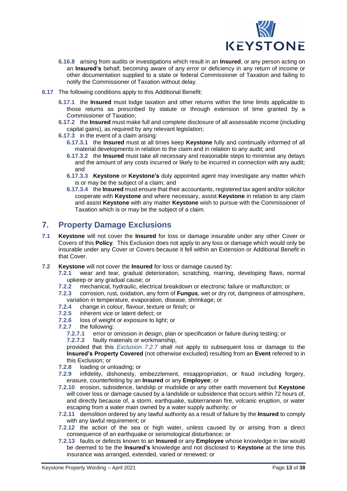

- **6.16.8** arising from audits or investigations which result in an **Insured**, or any person acting on an **Insured's** behalf, becoming aware of any error or deficiency in any return of income or other documentation supplied to a state or federal Commissioner of Taxation and failing to notify the Commissioner of Taxation without delay.
- **6.17** The following conditions apply to this Additional Benefit:
	- **6.17.1** the **Insured** must lodge taxation and other returns within the time limits applicable to those returns as prescribed by statute or through extension of time granted by a Commissioner of Taxation;
	- **6.17.2** the **Insured** must make full and complete disclosure of all assessable income (including capital gains), as required by any relevant legislation;
	- **6.17.3** in the event of a claim arising:
		- **6.17.3.1** the **Insured** must at all times keep **Keystone** fully and continually informed of all material developments in relation to the claim and in relation to any audit; and
		- **6.17.3.2** the **Insured** must take all necessary and reasonable steps to minimise any delays and the amount of any costs incurred or likely to be incurred in connection with any audit; and
		- **6.17.3.3 Keystone** or **Keystone's** duly appointed agent may investigate any matter which is or may be the subject of a claim; and
		- **6.17.3.4** the **Insured** must ensure that theiraccountants, registered tax agent and/or solicitor cooperate with **Keystone** and where necessary, assist **Keystone** in relation to any claim and assist **Keystone** with any matter **Keystone** wish to pursue with the Commissioner of Taxation which is or may be the subject of a claim.

# **7. Property Damage Exclusions**

- **7.1 Keystone** will not cover the **Insured** for loss or damage insurable under any other Cover or Covers of this **Policy**. This Exclusion does not apply to any loss or damage which would only be insurable under any Cover or Covers because it fell within an Extension or Additional Benefit in that Cover.
- **7.2 Keystone** will not cover the **Insured** for loss or damage caused by:
	- **7.2.1** wear and tear, gradual deterioration, scratching, marring, developing flaws, normal upkeep or any gradual cause; or
	- **7.2.2** mechanical, hydraulic, electrical breakdown or electronic failure or malfunction; or
	- **7.2.3** corrosion, rust, oxidation, any form of **Fungus**, wet or dry rot, dampness of atmosphere, variation in temperature, evaporation, disease, shrinkage; or
	- **7.2.4** change in colour, flavour, texture or finish; or
	- **7.2.5** inherent vice or latent defect; or
	- **7.2.6** loss of weight or exposure to light; or
	- **7.2.7** the following:
		- **7.2.7.1** error or omission in design, plan or specification or failure during testing; or **7.2.7.2** faulty materials or workmanship,

provided that this *Exclusion 7.2.7* shall not apply to subsequent loss or damage to the **Insured's Property Covered** (not otherwise excluded) resulting from an **Event** referred to in this Exclusion; or

- **7.2.8** loading or unloading; or
- **7.2.9** infidelity, dishonesty, embezzlement, misappropriation, or fraud including forgery, erasure, counterfeiting by an **Insured** or any **Employee**; or
- **7.2.10** erosion, subsidence, landslip or mudslide or any other earth movement but **Keystone** will cover loss or damage caused by a landslide or subsidence that occurs within 72 hours of, and directly because of, a storm, earthquake, subterranean fire, volcanic eruption, or water escaping from a water main owned by a water supply authority; or
- **7.2.11** demolition ordered by any lawful authority as a result of failure by the **Insured** to comply with any lawful requirement; or
- **7.2.12** the action of the sea or high water, unless caused by or arising from a direct consequence of an earthquake or seismological disturbance; or
- **7.2.13** faults or defects known to an **Insured** or any **Employee** whose knowledge in law would be deemed to be the **Insured's** knowledge and not disclosed to **Keystone** at the time this insurance was arranged, extended, varied or renewed; or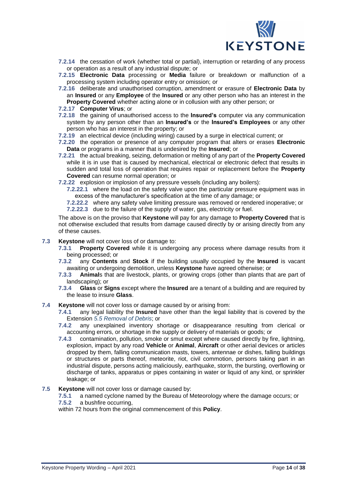

- **7.2.14** the cessation of work (whether total or partial), interruption or retarding of any process or operation as a result of any industrial dispute; or
- **7.2.15 Electronic Data** processing or **Media** failure or breakdown or malfunction of a processing system including operator entry or omission; or
- **7.2.16** deliberate and unauthorised corruption, amendment or erasure of **Electronic Data** by an **Insured** or any **Employee** of the **Insured** or any other person who has an interest in the **Property Covered** whether acting alone or in collusion with any other person; or

### **7.2.17 Computer Virus**; or

- **7.2.18** the gaining of unauthorised access to the **Insured's** computer via any communication system by any person other than an **Insured's** or the **Insured's Employees** or any other person who has an interest in the property; or
- **7.2.19** an electrical device (including wiring) caused by a surge in electrical current; or
- **7.2.20** the operation or presence of any computer program that alters or erases **Electronic Data** or programs in a manner that is undesired by the **Insured**; or
- **7.2.21** the actual breaking, seizing, deformation or melting of any part of the **Property Covered** while it is in use that is caused by mechanical, electrical or electronic defect that results in sudden and total loss of operation that requires repair or replacement before the **Property Covered** can resume normal operation; or
- **7.2.22** explosion or implosion of any pressure vessels (including any boilers):
	- **7.2.22.1** where the load on the safety valve upon the particular pressure equipment was in excess of the manufacturer's specification at the time of any damage; or

**7.2.22.2** where any safety valve limiting pressure was removed or rendered inoperative; or **7.2.22.3** due to the failure of the supply of water, gas, electricity or fuel.

The above is on the proviso that **Keystone** will pay for any damage to **Property Covered** that is not otherwise excluded that results from damage caused directly by or arising directly from any of these causes.

- **7.3 Keystone** will not cover loss of or damage to:
	- **7.3.1 Property Covered** while it is undergoing any process where damage results from it being processed; or
	- **7.3.2** any **Contents** and **Stock** if the building usually occupied by the **Insured** is vacant awaiting or undergoing demolition, unless **Keystone** have agreed otherwise; or
	- **7.3.3 Animal**s that are livestock, plants, or growing crops (other than plants that are part of landscaping); or
	- **7.3.4 Glass** or **Signs** except where the **Insured** are a tenant of a building and are required by the lease to insure **Glass**.
- **7.4 Keystone** will not cover loss or damage caused by or arising from:
	- **7.4.1** any legal liability the **Insured** have other than the legal liability that is covered by the Extension *5.5 Removal of Debris*; or
	- **7.4.2** any unexplained inventory shortage or disappearance resulting from clerical or accounting errors, or shortage in the supply or delivery of materials or goods; or
	- **7.4.3** contamination, pollution, smoke or smut except where caused directly by fire, lightning, explosion, impact by any road **Vehicle** or **Animal**, **Aircraft** or other aerial devices or articles dropped by them, falling communication masts, towers, antennae or dishes, falling buildings or structures or parts thereof, meteorite, riot, civil commotion, persons taking part in an industrial dispute, persons acting maliciously, earthquake, storm, the bursting, overflowing or discharge of tanks, apparatus or pipes containing in water or liquid of any kind, or sprinkler leakage; or
- **7.5 Keystone** will not cover loss or damage caused by:
	- **7.5.1** a named cyclone named by the Bureau of Meteorology where the damage occurs; or **7.5.2** a bushfire occurring,

within 72 hours from the original commencement of this **Policy**.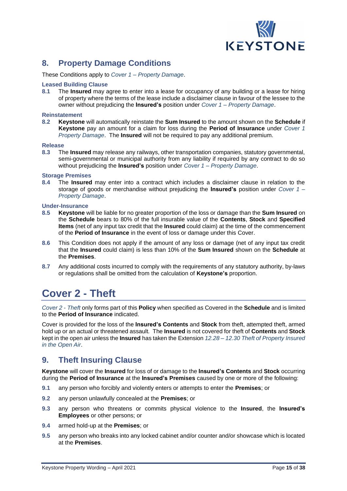

# **8. Property Damage Conditions**

These Conditions apply to *Cover 1 – Property Damage*.

### **Leased Building Clause**

**8.1** The **Insured** may agree to enter into a lease for occupancy of any building or a lease for hiring of property where the terms of the lease include a disclaimer clause in favour of the lessee to the owner without prejudicing the **Insured's** position under *Cover 1 – Property Damage*.

### **Reinstatement**

**8.2 Keystone** will automatically reinstate the **Sum Insured** to the amount shown on the **Schedule** if **Keystone** pay an amount for a claim for loss during the **Period of Insurance** under *Cover 1 Property Damage*. The **Insured** will not be required to pay any additional premium.

### **Release**

**8.3** The **Insured** may release any railways, other transportation companies, statutory governmental, semi-governmental or municipal authority from any liability if required by any contract to do so without prejudicing the **Insured's** position under *Cover 1 – Property Damage*.

### **Storage Premises**

**8.4** The **Insured** may enter into a contract which includes a disclaimer clause in relation to the storage of goods or merchandise without prejudicing the **Insured's** position under *Cover 1 – Property Damage*.

### **Under-Insurance**

- **8.5 Keystone** will be liable for no greater proportion of the loss or damage than the **Sum Insured** on the **Schedule** bears to 80% of the full insurable value of the **Contents**, **Stock** and **Specified Items** (net of any input tax credit that the **Insured** could claim) at the time of the commencement of the **Period of Insurance** in the event of loss or damage under this Cover.
- **8.6** This Condition does not apply if the amount of any loss or damage (net of any input tax credit that the **Insured** could claim) is less than 10% of the **Sum Insured** shown on the **Schedule** at the **Premises**.
- **8.7** Any additional costs incurred to comply with the requirements of any statutory authority, by-laws or regulations shall be omitted from the calculation of **Keystone's** proportion.

# <span id="page-14-0"></span>**Cover 2 - Theft**

*Cover 2 - Theft* only forms part of this **Policy** when specified as Covered in the **Schedule** and is limited to the **Period of Insurance** indicated.

Cover is provided for the loss of the **Insured's Contents** and **Stock** from theft, attempted theft, armed hold up or an actual or threatened assault. The **Insured** is not covered for theft of **Contents** and **Stock** kept in the open air unless the **Insured** has taken the Extension *12.28 – 12.30 Theft of Property Insured in the Open Air*.

## **9. Theft Insuring Clause**

**Keystone** will cover the **Insured** for loss of or damage to the **Insured's Contents** and **Stock** occurring during the **Period of Insurance** at the **Insured's Premises** caused by one or more of the following:

- **9.1** any person who forcibly and violently enters or attempts to enter the **Premises**; or
- **9.2** any person unlawfully concealed at the **Premises**; or
- **9.3** any person who threatens or commits physical violence to the **Insured**, the **Insured's Employees** or other persons; or
- **9.4** armed hold-up at the **Premises**; or
- **9.5** any person who breaks into any locked cabinet and/or counter and/or showcase which is located at the **Premises**.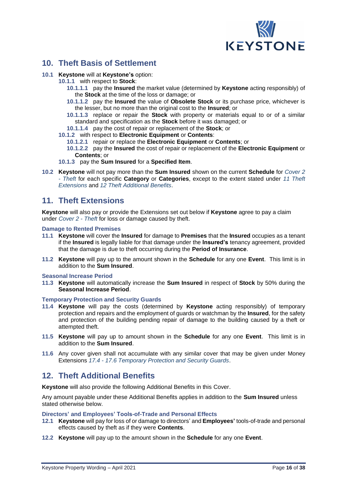

# **10. Theft Basis of Settlement**

### **10.1 Keystone** will at **Keystone's** option:

- **10.1.1** with respect to **Stock**:
	- **10.1.1.1** pay the **Insured** the market value (determined by **Keystone** acting responsibly) of the **Stock** at the time of the loss or damage; or
	- **10.1.1.2** pay the **Insured** the value of **Obsolete Stock** or its purchase price, whichever is the lesser, but no more than the original cost to the **Insured**; or
	- **10.1.1.3** replace or repair the **Stock** with property or materials equal to or of a similar standard and specification as the **Stock** before it was damaged; or
	- **10.1.1.4** pay the cost of repair or replacement of the **Stock**; or
- **10.1.2** with respect to **Electronic Equipment** or **Contents**:
	- **10.1.2.1** repair or replace the **Electronic Equipment** or **Contents**; or
	- **10.1.2.2** pay the **Insured** the cost of repair or replacement of the **Electronic Equipment** or **Contents**; or
- **10.1.3** pay the **Sum Insured** for a **Specified Item**.
- **10.2 Keystone** will not pay more than the **Sum Insured** shown on the current **Schedule** for *Cover 2 - Theft* for each specific **Category** or **Categories**, except to the extent stated under *11 Theft Extensions* and *12 Theft Additional Benefits*.

## **11. Theft Extensions**

**Keystone** will also pay or provide the Extensions set out below if **Keystone** agree to pay a claim under *Cover 2 - Theft* for loss or damage caused by theft.

### **Damage to Rented Premises**

- **11.1 Keystone** will cover the **Insured** for damage to **Premises** that the **Insured** occupies as a tenant if the **Insured** is legally liable for that damage under the **Insured's** tenancy agreement, provided that the damage is due to theft occurring during the **Period of Insurance**.
- **11.2 Keystone** will pay up to the amount shown in the **Schedule** for any one **Event**. This limit is in addition to the **Sum Insured**.

### **Seasonal Increase Period**

**11.3 Keystone** will automatically increase the **Sum Insured** in respect of **Stock** by 50% during the **Seasonal Increase Period**.

### **Temporary Protection and Security Guards**

- **11.4 Keystone** will pay the costs (determined by **Keystone** acting responsibly) of temporary protection and repairs and the employment of guards or watchman by the **Insured**, for the safety and protection of the building pending repair of damage to the building caused by a theft or attempted theft.
- **11.5 Keystone** will pay up to amount shown in the **Schedule** for any one **Event**. This limit is in addition to the **Sum Insured**.
- **11.6** Any cover given shall not accumulate with any similar cover that may be given under Money Extensions *17.4 - 17.6 Temporary Protection and Security Guards*.

# **12. Theft Additional Benefits**

**Keystone** will also provide the following Additional Benefits in this Cover.

Any amount payable under these Additional Benefits applies in addition to the **Sum Insured** unless stated otherwise below.

### **Directors' and Employees' Tools-of-Trade and Personal Effects**

- **12.1 Keystone** will pay for loss of or damage to directors' and **Employees'** tools-of-trade and personal effects caused by theft as if they were **Contents**.
- **12.2 Keystone** will pay up to the amount shown in the **Schedule** for any one **Event**.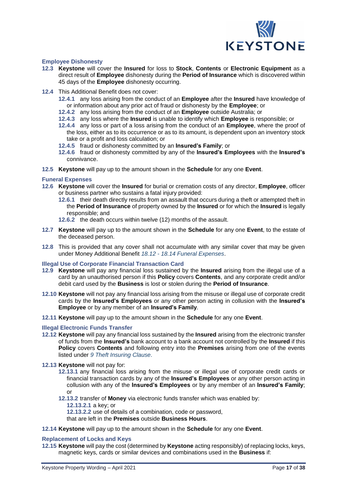

### **Employee Dishonesty**

- **12.3 Keystone** will cover the **Insured** for loss to **Stock**, **Contents** or **Electronic Equipment** as a direct result of **Employee** dishonesty during the **Period of Insurance** which is discovered within 45 days of the **Employee** dishonesty occurring.
- **12.4** This Additional Benefit does not cover:
	- **12.4.1** any loss arising from the conduct of an **Employee** after the **Insured** have knowledge of or information about any prior act of fraud or dishonesty by the **Employee**; or
	- **12.4.2** any loss arising from the conduct of an **Employee** outside Australia; or
	- **12.4.3** any loss where the **Insured** is unable to identify which **Employee** is responsible; or
	- **12.4.4** any loss or part of a loss arising from the conduct of an **Employee**, where the proof of the loss, either as to its occurrence or as to its amount, is dependent upon an inventory stock take or a profit and loss calculation; or
	- **12.4.5** fraud or dishonesty committed by an **Insured's Family**; or
	- **12.4.6** fraud or dishonesty committed by any of the **Insured's Employees** with the **Insured's** connivance.
- **12.5 Keystone** will pay up to the amount shown in the **Schedule** for any one **Event**.

### **Funeral Expenses**

- **12.6 Keystone** will cover the **Insured** for burial or cremation costs of any director, **Employee**, officer or business partner who sustains a fatal injury provided:
	- **12.6.1** their death directly results from an assault that occurs during a theft or attempted theft in the **Period of Insurance** of property owned by the **Insured** or for which the **Insured** is legally responsible; and
	- **12.6.2** the death occurs within twelve (12) months of the assault.
- **12.7 Keystone** will pay up to the amount shown in the **Schedule** for any one **Event**, to the estate of the deceased person.
- **12.8** This is provided that any cover shall not accumulate with any similar cover that may be given under Money Additional Benefit *18.12 - 18.14 Funeral Expenses*.

### **Illegal Use of Corporate Financial Transaction Card**

- **12.9 Keystone** will pay any financial loss sustained by the **Insured** arising from the illegal use of a card by an unauthorised person if this **Policy** covers **Contents**, and any corporate credit and/or debit card used by the **Business** is lost or stolen during the **Period of Insurance**.
- **12.10 Keystone** will not pay any financial loss arising from the misuse or illegal use of corporate credit cards by the **Insured's Employees** or any other person acting in collusion with the **Insured's Employee** or by any member of an **Insured's Family**.
- **12.11 Keystone** will pay up to the amount shown in the **Schedule** for any one **Event**.

### **Illegal Electronic Funds Transfer**

- **12.12 Keystone** will pay any financial loss sustained by the **Insured** arising from the electronic transfer of funds from the **Insured's** bank account to a bank account not controlled by the **Insured** if this **Policy** covers **Contents** and following entry into the **Premises** arising from one of the events listed under *9 Theft Insuring Clause*.
- **12.13 Keystone** will not pay for:
	- **12.13.1** any financial loss arising from the misuse or illegal use of corporate credit cards or financial transaction cards by any of the **Insured's Employees** or any other person acting in collusion with any of the **Insured's Employees** or by any member of an **Insured's Family**; or
	- **12.13.2** transfer of **Money** via electronic funds transfer which was enabled by: **12.13.2.1** a key; or **12.13.2.2** use of details of a combination, code or password,
		- that are left in the **Premises** outside **Business Hours**.
- **12.14 Keystone** will pay up to the amount shown in the **Schedule** for any one **Event**.

### **Replacement of Locks and Keys**

**12.15 Keystone** will pay the cost (determined by **Keystone** acting responsibly) of replacing locks, keys, magnetic keys, cards or similar devices and combinations used in the **Business** if: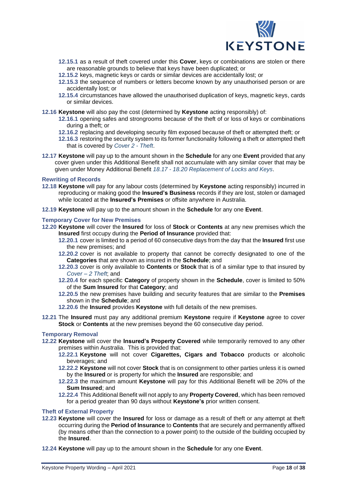

- **12.15.1** as a result of theft covered under this **Cover**, keys or combinations are stolen or there are reasonable grounds to believe that keys have been duplicated; or
- **12.15.2** keys, magnetic keys or cards or similar devices are accidentally lost; or
- **12.15.3** the sequence of numbers or letters become known by any unauthorised person or are accidentally lost; or
- **12.15.4** circumstances have allowed the unauthorised duplication of keys, magnetic keys, cards or similar devices.
- **12.16 Keystone** will also pay the cost (determined by **Keystone** acting responsibly) of:
	- **12.16.1** opening safes and strongrooms because of the theft of or loss of keys or combinations during a theft; or
	- **12.16.2** replacing and developing security film exposed because of theft or attempted theft; or
	- **12.16.3** restoring the security system to its former functionality following a theft or attempted theft that is covered by *Cover 2 - Theft*.
- **12.17 Keystone** will pay up to the amount shown in the **Schedule** for any one **Event** provided that any cover given under this Additional Benefit shall not accumulate with any similar cover that may be given under Money Additional Benefit *18.17 - 18.20 Replacement of Locks and Keys*.

### **Rewriting of Records**

- **12.18 Keystone** will pay for any labour costs (determined by **Keystone** acting responsibly) incurred in reproducing or making good the **Insured's Business** records if they are lost, stolen or damaged while located at the **Insured's Premises** or offsite anywhere in Australia.
- **12.19 Keystone** will pay up to the amount shown in the **Schedule** for any one **Event**.

### **Temporary Cover for New Premises**

- **12.20 Keystone** will cover the **Insured** for loss of **Stock** or **Contents** at any new premises which the **Insured** first occupy during the **Period of Insurance** provided that:
	- **12.20.1** cover is limited to a period of 60 consecutive days from the day that the **Insured** first use the new premises; and
	- **12.20.2** cover is not available to property that cannot be correctly designated to one of the **Categories** that are shown as insured in the **Schedule**; and
	- **12.20.3** cover is only available to **Contents** or **Stock** that is of a similar type to that insured by *Cover – 2 Theft*; and
	- **12.20.4** for each specific **Category** of property shown in the **Schedule**, cover is limited to 50% of the **Sum Insured** for that **Category**; and
	- **12.20.5** the new premises have building and security features that are similar to the **Premises** shown in the **Schedule**; and
	- **12.20.6** the **Insured** provides **Keystone** with full details of the new premises.
- **12.21** The **Insured** must pay any additional premium **Keystone** require if **Keystone** agree to cover **Stock** or **Contents** at the new premises beyond the 60 consecutive day period.

### **Temporary Removal**

- **12.22 Keystone** will cover the **Insured's Property Covered** while temporarily removed to any other premises within Australia. This is provided that:
	- **12.22.1 Keystone** will not cover **Cigarettes, Cigars and Tobacco** products or alcoholic beverages; and
	- **12.22.2 Keystone** will not cover **Stock** that is on consignment to other parties unless it is owned by the **Insured** or is property for which the **Insured** are responsible; and
	- **12.22.3** the maximum amount **Keystone** will pay for this Additional Benefit will be 20% of the **Sum Insured**; and
	- **12.22.4** This Additional Benefit will not apply to any **Property Covered**, which has been removed for a period greater than 90 days without **Keystone's** prior written consent.

### **Theft of External Property**

- **12.23 Keystone** will cover the **Insured** for loss or damage as a result of theft or any attempt at theft occurring during the **Period of Insurance** to **Contents** that are securely and permanently affixed (by means other than the connection to a power point) to the outside of the building occupied by the **Insured**.
- **12.24 Keystone** will pay up to the amount shown in the **Schedule** for any one **Event**.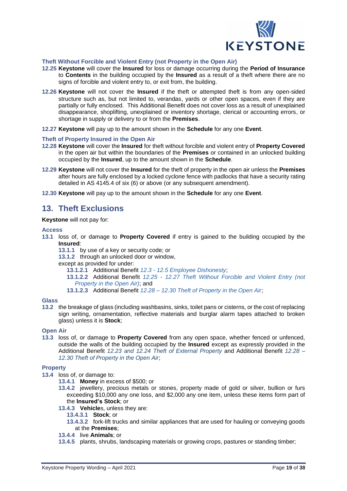

## **Theft Without Forcible and Violent Entry (not Property in the Open Air)**

- **12.25 Keystone** will cover the **Insured** for loss or damage occurring during the **Period of Insurance** to **Contents** in the building occupied by the **Insured** as a result of a theft where there are no signs of forcible and violent entry to, or exit from, the building.
- **12.26 Keystone** will not cover the **Insured** if the theft or attempted theft is from any open-sided structure such as, but not limited to, verandas, yards or other open spaces, even if they are partially or fully enclosed. This Additional Benefit does not cover loss as a result of unexplained disappearance, shoplifting, unexplained or inventory shortage, clerical or accounting errors, or shortage in supply or delivery to or from the **Premises**.
- **12.27 Keystone** will pay up to the amount shown in the **Schedule** for any one **Event**.

### **Theft of Property Insured in the Open Air**

- **12.28 Keystone** will cover the **Insured** for theft without forcible and violent entry of **Property Covered** in the open air but within the boundaries of the **Premises** or contained in an unlocked building occupied by the **Insured**, up to the amount shown in the **Schedule**.
- **12.29 Keystone** will not cover the **Insured** for the theft of property in the open air unless the **Premises** after hours are fully enclosed by a locked cyclone fence with padlocks that have a security rating detailed in AS 4145.4 of six (6) or above (or any subsequent amendment).
- **12.30 Keystone** will pay up to the amount shown in the **Schedule** for any one **Event**.

## **13. Theft Exclusions**

**Keystone** will not pay for:

### **Access**

- **13.1** loss of, or damage to **Property Covered** if entry is gained to the building occupied by the **Insured**:
	- **13.1.1** by use of a key or security code; or
	- **13.1.2** through an unlocked door or window,
	- except as provided for under:
		- **13.1.2.1** Additional Benefit *12.3 - 12.5 Employee Dishonesty*;
		- **13.1.2.2** Additional Benefit *12.25 - 12.27 Theft Without Forcible and Violent Entry (not Property in the Open Air)*; and
		- **13.1.2.3** Additional Benefit *12.28 – 12.30 Theft of Property in the Open Air*;

### **Glass**

**13.2** the breakage of glass (including washbasins, sinks, toilet pans or cisterns, or the cost of replacing sign writing, ornamentation, reflective materials and burglar alarm tapes attached to broken glass) unless it is **Stock**;

### **Open Air**

**13.3** loss of, or damage to **Property Covered** from any open space, whether fenced or unfenced, outside the walls of the building occupied by the **Insured** except as expressly provided in the Additional Benefit *12.23 and 12.24 Theft of External Property* and Additional Benefit *12.28 – 12.30 Theft of Property in the Open Air*;

### **Property**

- **13.4** loss of, or damage to:
	- **13.4.1 Money** in excess of \$500; or
	- **13.4.2** jewellery, precious metals or stones, property made of gold or silver, bullion or furs exceeding \$10,000 any one loss, and \$2,000 any one item, unless these items form part of the **Insured's Stock**; or
	- **13.4.3 Vehicle**s, unless they are:
		- **13.4.3.1 Stock**; or
		- **13.4.3.2** fork-lift trucks and similar appliances that are used for hauling or conveying goods at the **Premises**;
	- **13.4.4** live **Animals**; or
	- **13.4.5** plants, shrubs, landscaping materials or growing crops, pastures or standing timber;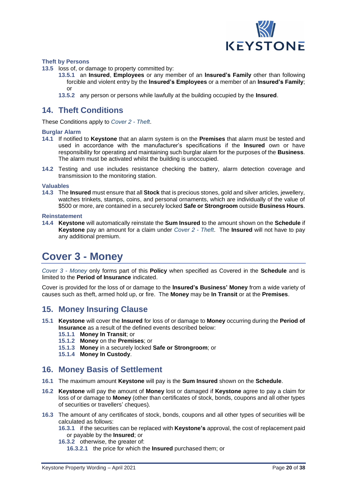

### **Theft by Persons**

**13.5** loss of, or damage to property committed by:

- **13.5.1** an **Insured**, **Employees** or any member of an **Insured's Family** other than following forcible and violent entry by the **Insured's Employees** or a member of an **Insured's Family**; or
- **13.5.2** any person or persons while lawfully at the building occupied by the **Insured**.

## **14. Theft Conditions**

These Conditions apply to *Cover 2 - Theft*.

### **Burglar Alarm**

- **14.1** If notified to **Keystone** that an alarm system is on the **Premises** that alarm must be tested and used in accordance with the manufacturer's specifications if the **Insured** own or have responsibility for operating and maintaining such burglar alarm for the purposes of the **Business**. The alarm must be activated whilst the building is unoccupied.
- **14.2** Testing and use includes resistance checking the battery, alarm detection coverage and transmission to the monitoring station.

### **Valuables**

**14.3** The **Insured** must ensure that all **Stock** that is precious stones, gold and silver articles, jewellery, watches trinkets, stamps, coins, and personal ornaments, which are individually of the value of \$500 or more, are contained in a securely locked **Safe or Strongroom** outside **Business Hours**.

### **Reinstatement**

**14.4 Keystone** will automatically reinstate the **Sum Insured** to the amount shown on the **Schedule** if **Keystone** pay an amount for a claim under *Cover 2 - Theft*. The **Insured** will not have to pay any additional premium.

# <span id="page-19-0"></span>**Cover 3 - Money**

*Cover 3 - Money* only forms part of this **Policy** when specified as Covered in the **Schedule** and is limited to the **Period of Insurance** indicated.

Cover is provided for the loss of or damage to the **Insured's Business' Money** from a wide variety of causes such as theft, armed hold up, or fire. The **Money** may be **In Transit** or at the **Premises**.

## **15. Money Insuring Clause**

- **15.1 Keystone** will cover the **Insured** for loss of or damage to **Money** occurring during the **Period of Insurance** as a result of the defined events described below:
	- **15.1.1 Money In Transit**; or
	- **15.1.2 Money** on the **Premises**; or
	- **15.1.3 Money** in a securely locked **Safe or Strongroom**; or
	- **15.1.4 Money In Custody**.

## **16. Money Basis of Settlement**

- **16.1** The maximum amount **Keystone** will pay is the **Sum Insured** shown on the **Schedule**.
- **16.2 Keystone** will pay the amount of **Money** lost or damaged if **Keystone** agree to pay a claim for loss of or damage to **Money** (other than certificates of stock, bonds, coupons and all other types of securities or travellers' cheques).
- **16.3** The amount of any certificates of stock, bonds, coupons and all other types of securities will be calculated as follows:
	- **16.3.1** if the securities can be replaced with **Keystone's** approval, the cost of replacement paid or payable by the **Insured**; or
	- **16.3.2** otherwise, the greater of:
		- **16.3.2.1** the price for which the **Insured** purchased them; or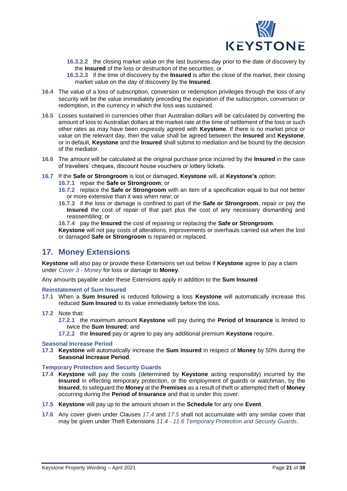

- **16.3.2.2** the closing market value on the last business day prior to the date of discovery by the **Insured** of the loss or destruction of the securities; or
- **16.3.2.3** if the time of discovery by the **Insured** is after the close of the market, their closing market value on the day of discovery by the **Insured**.
- **16.4** The value of a loss of subscription, conversion or redemption privileges through the loss of any security will be the value immediately preceding the expiration of the subscription, conversion or redemption, in the currency in which the loss was sustained.
- **16.5** Losses sustained in currencies other than Australian dollars will be calculated by converting the amount of loss to Australian dollars at the market rate at the time of settlement of the loss or such other rates as may have been expressly agreed with **Keystone**. If there is no market price or value on the relevant day, then the value shall be agreed between the **Insured** and **Keystone**, or in default, **Keystone** and the **Insured** shall submit to mediation and be bound by the decision of the mediator.
- **16.6** The amount will be calculated at the original purchase price incurred by the **Insured** in the case of travellers' cheques, discount house vouchers or lottery tickets.
- **16.7** If the **Safe or Strongroom** is lost or damaged, **Keystone** will, at **Keystone's** option:
	- **16.7.1** repair the **Safe or Strongroom**; or
	- **16.7.2** replace the **Safe or Strongroom** with an item of a specification equal to but not better or more extensive than it was when new; or
	- **16.7.3** if the loss or damage is confined to part of the **Safe or Strongroom**, repair or pay the **Insured** the cost of repair of that part plus the cost of any necessary dismantling and reassembling; or
	- **16.7.4** pay the **Insured** the cost of repairing or replacing the **Safe or Strongroom**.

**Keystone** will not pay costs of alterations, improvements or overhauls carried out when the lost or damaged **Safe or Strongroom** is repaired or replaced.

# **17. Money Extensions**

**Keystone** will also pay or provide these Extensions set out below if **Keystone** agree to pay a claim under *Cover 3 - Money* for loss or damage to **Money**.

Any amounts payable under these Extensions apply in addition to the **Sum Insured**.

### **Reinstatement of Sum Insured**

- **17.1** When a **Sum Insured** is reduced following a loss **Keystone** will automatically increase this reduced **Sum Insured** to its value immediately before the loss.
- **17.2** Note that:
	- **17.2.1** the maximum amount **Keystone** will pay during the **Period of Insurance** is limited to twice the **Sum Insured**; and
	- **17.2.2** the **Insured** pay or agree to pay any additional premium **Keystone** require.

### **Seasonal Increase Period**

**17.3 Keystone** will automatically increase the **Sum Insured** in respect of **Money** by 50% during the **Seasonal Increase Period**.

### **Temporary Protection and Security Guards**

- **17.4 Keystone** will pay the costs (determined by **Keystone** acting responsibly) incurred by the **Insured** in effecting temporary protection, or the employment of guards or watchman, by the **Insured**, to safeguard the **Money**at the **Premises** as a result of theft or attempted theft of **Money** occurring during the **Period of Insurance** and that is under this cover.
- **17.5 Keystone** will pay up to the amount shown in the **Schedule** for any one **Event**.
- **17.6** Any cover given under Clauses *17.4* and *17.5* shall not accumulate with any similar cover that may be given under Theft Extensions *11.4 - 11.6 Temporary Protection and Security Guards*.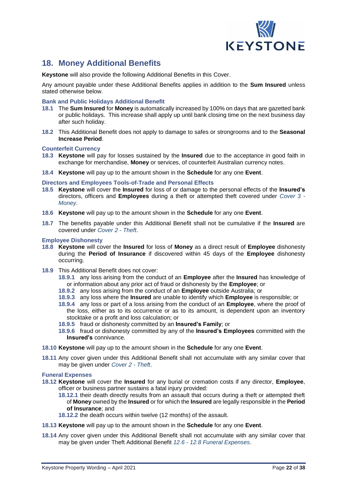

# **18. Money Additional Benefits**

**Keystone** will also provide the following Additional Benefits in this Cover.

Any amount payable under these Additional Benefits applies in addition to the **Sum Insured** unless stated otherwise below.

### **Bank and Public Holidays Additional Benefit**

- **18.1** The **Sum Insured** for **Money** is automatically increased by 100% on days that are gazetted bank or public holidays. This increase shall apply up until bank closing time on the next business day after such holiday.
- **18.2** This Additional Benefit does not apply to damage to safes or strongrooms and to the **Seasonal Increase Period**.

### **Counterfeit Currency**

- **18.3 Keystone** will pay for losses sustained by the **Insured** due to the acceptance in good faith in exchange for merchandise, **Money** or services, of counterfeit Australian currency notes.
- **18.4 Keystone** will pay up to the amount shown in the **Schedule** for any one **Event**.

### **Directors and Employees Tools-of-Trade and Personal Effects**

- **18.5 Keystone** will cover the **Insured** for loss of or damage to the personal effects of the **Insured's** directors, officers and **Employees** during a theft or attempted theft covered under *Cover 3 - Money*.
- **18.6 Keystone** will pay up to the amount shown in the **Schedule** for any one **Event**.
- **18.7** The benefits payable under this Additional Benefit shall not be cumulative if the **Insured** are covered under *Cover 2 - Theft*.

### **Employee Dishonesty**

- **18.8 Keystone** will cover the **Insured** for loss of **Money** as a direct result of **Employee** dishonesty during the **Period of Insurance** if discovered within 45 days of the **Employee** dishonesty occurring.
- **18.9** This Additional Benefit does not cover:
	- **18.9.1** any loss arising from the conduct of an **Employee** after the **Insured** has knowledge of or information about any prior act of fraud or dishonesty by the **Employee**; or
	- **18.9.2** any loss arising from the conduct of an **Employee** outside Australia; or
	- **18.9.3** any loss where the **Insured** are unable to identify which **Employee** is responsible; or
	- **18.9.4** any loss or part of a loss arising from the conduct of an **Employee**, where the proof of the loss, either as to its occurrence or as to its amount, is dependent upon an inventory stocktake or a profit and loss calculation; or
	- **18.9.5** fraud or dishonesty committed by an **Insured's Family**; or
	- **18.9.6** fraud or dishonesty committed by any of the **Insured's Employees** committed with the **Insured's** connivance.
- **18.10 Keystone** will pay up to the amount shown in the **Schedule** for any one **Event**.
- **18.11** Any cover given under this Additional Benefit shall not accumulate with any similar cover that may be given under *Cover 2 - Theft*.

### **Funeral Expenses**

- **18.12 Keystone** will cover the **Insured** for any burial or cremation costs if any director, **Employee**, officer or business partner sustains a fatal injury provided:
	- **18.12.1** their death directly results from an assault that occurs during a theft or attempted theft of **Money**owned by the **Insured** or for which the **Insured** are legally responsible in the **Period of Insurance**; and
	- **18.12.2** the death occurs within twelve (12 months) of the assault.
- **18.13 Keystone** will pay up to the amount shown in the **Schedule** for any one **Event**.
- **18.14** Any cover given under this Additional Benefit shall not accumulate with any similar cover that may be given under Theft Additional Benefit *12.6 - 12.8 Funeral Expenses*.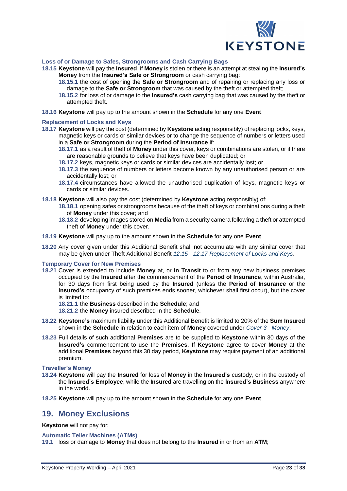

### **Loss of or Damage to Safes, Strongrooms and Cash Carrying Bags**

- **18.15 Keystone** will pay the **Insured**, if **Money** is stolen or there is an attempt at stealing the **Insured's Money** from the **Insured's Safe or Strongroom** or cash carrying bag:
	- **18.15.1** the cost of opening the **Safe or Strongroom** and of repairing or replacing any loss or damage to the **Safe or Strongroom** that was caused by the theft or attempted theft;
	- **18.15.2** for loss of or damage to the **Insured's** cash carrying bag that was caused by the theft or attempted theft.
- **18.16 Keystone** will pay up to the amount shown in the **Schedule** for any one **Event**.

### **Replacement of Locks and Keys**

- **18.17 Keystone** will pay the cost (determined by **Keystone** acting responsibly) of replacing locks, keys, magnetic keys or cards or similar devices or to change the sequence of numbers or letters used in a **Safe or Strongroom** during the **Period of Insurance** if:
	- **18.17.1** as a result of theft of **Money** under this cover, keys or combinations are stolen, or if there are reasonable grounds to believe that keys have been duplicated; or
	- **18.17.2** keys, magnetic keys or cards or similar devices are accidentally lost; or
	- **18.17.3** the sequence of numbers or letters become known by any unauthorised person or are accidentally lost; or
	- **18.17.4** circumstances have allowed the unauthorised duplication of keys, magnetic keys or cards or similar devices.
- **18.18 Keystone** will also pay the cost (determined by **Keystone** acting responsibly) of:
	- **18.18.1** opening safes or strongrooms because of the theft of keys or combinations during a theft of **Money** under this cover; and
	- **18.18.2** developing images stored on **Media** from a security camera following a theft or attempted theft of **Money** under this cover.
- **18.19 Keystone** will pay up to the amount shown in the **Schedule** for any one **Event**.
- **18.20** Any cover given under this Additional Benefit shall not accumulate with any similar cover that may be given under Theft Additional Benefit *12.15 - 12.17 Replacement of Locks and Keys*.

### **Temporary Cover for New Premises**

**18.21** Cover is extended to include **Money** at, or **In Transit** to or from any new business premises occupied by the **Insured** after the commencement of the **Period of Insurance**, within Australia, for 30 days from first being used by the **Insured** (unless the **Period of Insurance** or the **Insured's** occupancy of such premises ends sooner, whichever shall first occur), but the cover is limited to:

**18.21.1** the **Business** described in the **Schedule**; and

**18.21.2** the **Money** insured described in the **Schedule**.

- **18.22 Keystone's** maximum liability under this Additional Benefit is limited to 20% of the **Sum Insured** shown in the **Schedule** in relation to each item of **Money** covered under *Cover 3 - Money*.
- **18.23** Full details of such additional **Premises** are to be supplied to **Keystone** within 30 days of the **Insured's** commencement to use the **Premises**. If **Keystone** agree to cover **Money** at the additional **Premises** beyond this 30 day period, **Keystone** may require payment of an additional premium.

**Traveller's Money**

- **18.24 Keystone** will pay the **Insured** for loss of **Money** in the **Insured's** custody, or in the custody of the **Insured's Employee**, while the **Insured** are travelling on the **Insured's Business** anywhere in the world.
- **18.25 Keystone** will pay up to the amount shown in the **Schedule** for any one **Event**.

## **19. Money Exclusions**

**Keystone** will not pay for:

**Automatic Teller Machines (ATMs)**

**19.1** loss or damage to **Money** that does not belong to the **Insured** in or from an **ATM**;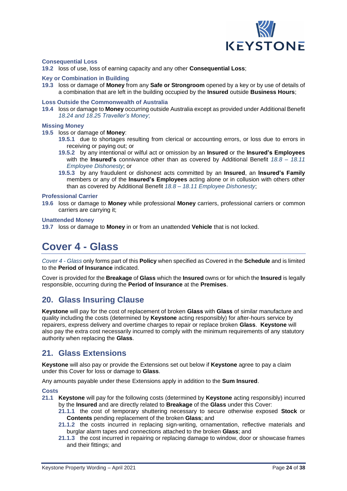

### **Consequential Loss**

**19.2** loss of use, loss of earning capacity and any other **Consequential Loss**;

### **Key or Combination in Building**

**19.3** loss or damage of **Money** from any **Safe or Strongroom** opened by a key or by use of details of a combination that are left in the building occupied by the **Insured** outside **Business Hours**;

### **Loss Outside the Commonwealth of Australia**

**19.4** loss or damage to **Money** occurring outside Australia except as provided under Additional Benefit *18.24 and 18.25 Traveller's Money*;

### **Missing Money**

**19.5** loss or damage of **Money**:

- **19.5.1** due to shortages resulting from clerical or accounting errors, or loss due to errors in receiving or paying out; or
- **19.5.2** by any intentional or wilful act or omission by an **Insured** or the **Insured's Employees** with the **Insured's** connivance other than as covered by Additional Benefit *18.8 – 18.11 Employee Dishonesty*; or
- **19.5.3** by any fraudulent or dishonest acts committed by an **Insured**, an **Insured's Family** members or any of the **Insured's Employees** acting alone or in collusion with others other than as covered by Additional Benefit *18.8 – 18.11 Employee Dishonesty*;

### **Professional Carrier**

**19.6** loss or damage to **Money** while professional **Money** carriers, professional carriers or common carriers are carrying it;

### **Unattended Money**

<span id="page-23-0"></span>**19.7** loss or damage to **Money** in or from an unattended **Vehicle** that is not locked.

# **Cover 4 - Glass**

*Cover 4 - Glass* only forms part of this **Policy** when specified as Covered in the **Schedule** and is limited to the **Period of Insurance** indicated.

Cover is provided for the **Breakage** of **Glass** which the **Insured** owns or for which the **Insured** is legally responsible, occurring during the **Period of Insurance** at the **Premises**.

## **20. Glass Insuring Clause**

**Keystone** will pay for the cost of replacement of broken **Glass** with **Glass** of similar manufacture and quality including the costs (determined by **Keystone** acting responsibly) for after-hours service by repairers, express delivery and overtime charges to repair or replace broken **Glass**. **Keystone** will also pay the extra cost necessarily incurred to comply with the minimum requirements of any statutory authority when replacing the **Glass**.

## **21. Glass Extensions**

**Keystone** will also pay or provide the Extensions set out below if **Keystone** agree to pay a claim under this Cover for loss or damage to **Glass**.

Any amounts payable under these Extensions apply in addition to the **Sum Insured**.

### **Costs**

- **21.1 Keystone** will pay for the following costs (determined by **Keystone** acting responsibly) incurred by the **Insured** and are directly related to **Breakage** of the **Glass** under this Cover:
	- **21.1.1** the cost of temporary shuttering necessary to secure otherwise exposed **Stock** or **Contents** pending replacement of the broken **Glass**; and
	- **21.1.2** the costs incurred in replacing sign-writing, ornamentation, reflective materials and burglar alarm tapes and connections attached to the broken **Glass**; and
	- **21.1.3** the cost incurred in repairing or replacing damage to window, door or showcase frames and their fittings; and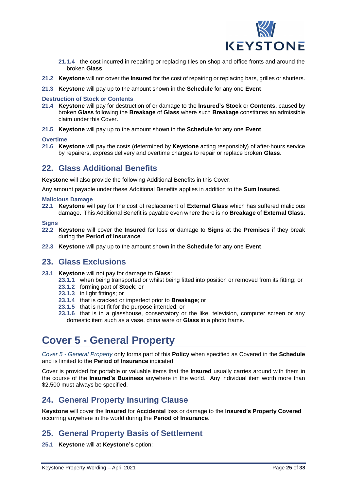

- **21.1.4** the cost incurred in repairing or replacing tiles on shop and office fronts and around the broken **Glass**.
- **21.2 Keystone** will not cover the **Insured** for the cost of repairing or replacing bars, grilles or shutters.
- **21.3 Keystone** will pay up to the amount shown in the **Schedule** for any one **Event**.

### **Destruction of Stock or Contents**

- **21.4 Keystone** will pay for destruction of or damage to the **Insured's Stock** or **Contents**, caused by broken **Glass** following the **Breakage** of **Glass** where such **Breakage** constitutes an admissible claim under this Cover.
- **21.5 Keystone** will pay up to the amount shown in the **Schedule** for any one **Event**.

### **Overtime**

**21.6 Keystone** will pay the costs (determined by **Keystone** acting responsibly) of after-hours service by repairers, express delivery and overtime charges to repair or replace broken **Glass**.

## **22. Glass Additional Benefits**

**Keystone** will also provide the following Additional Benefits in this Cover.

Any amount payable under these Additional Benefits applies in addition to the **Sum Insured**.

### **Malicious Damage**

**22.1 Keystone** will pay for the cost of replacement of **External Glass** which has suffered malicious damage. This Additional Benefit is payable even where there is no **Breakage** of **External Glass**.

### **Signs**

- **22.2 Keystone** will cover the **Insured** for loss or damage to **Signs** at the **Premises** if they break during the **Period of Insurance**.
- **22.3 Keystone** will pay up to the amount shown in the **Schedule** for any one **Event**.

## **23. Glass Exclusions**

- **23.1 Keystone** will not pay for damage to **Glass**:
	- **23.1.1** when being transported or whilst being fitted into position or removed from its fitting; or
	- **23.1.2** forming part of **Stock**; or
	- **23.1.3** in light fittings; or
	- **23.1.4** that is cracked or imperfect prior to **Breakage**; or
	- **23.1.5** that is not fit for the purpose intended; or
	- **23.1.6** that is in a glasshouse, conservatory or the like, television, computer screen or any domestic item such as a vase, china ware or **Glass** in a photo frame.

# <span id="page-24-0"></span>**Cover 5 - General Property**

*Cover 5 - General Property* only forms part of this **Policy** when specified as Covered in the **Schedule** and is limited to the **Period of Insurance** indicated.

Cover is provided for portable or valuable items that the **Insured** usually carries around with them in the course of the **Insured's Business** anywhere in the world. Any individual item worth more than \$2,500 must always be specified.

# **24. General Property Insuring Clause**

**Keystone** will cover the **Insured** for **Accidental** loss or damage to the **Insured's Property Covered** occurring anywhere in the world during the **Period of Insurance**.

# **25. General Property Basis of Settlement**

**25.1 Keystone** will at **Keystone's** option: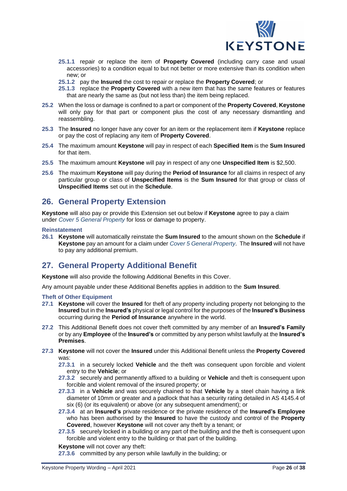

- **25.1.1** repair or replace the item of **Property Covered** (including carry case and usual accessories) to a condition equal to but not better or more extensive than its condition when new; or
- **25.1.2** pay the **Insured** the cost to repair or replace the **Property Covered**; or
- **25.1.3** replace the **Property Covered** with a new item that has the same features or features that are nearly the same as (but not less than) the item being replaced.
- **25.2** When the loss or damage is confined to a part or component of the **Property Covered**, **Keystone** will only pay for that part or component plus the cost of any necessary dismantling and reassembling.
- **25.3** The **Insured** no longer have any cover for an item or the replacement item if **Keystone** replace or pay the cost of replacing any item of **Property Covered**.
- **25.4** The maximum amount **Keystone** will pay in respect of each **Specified Item** is the **Sum Insured** for that item.
- **25.5** The maximum amount **Keystone** will pay in respect of any one **Unspecified Item** is \$2,500.
- **25.6** The maximum **Keystone** will pay during the **Period of Insurance** for all claims in respect of any particular group or class of **Unspecified Items** is the **Sum Insured** for that group or class of **Unspecified Items** set out in the **Schedule**.

# **26. General Property Extension**

**Keystone** will also pay or provide this Extension set out below if **Keystone** agree to pay a claim under *Cover 5 General Property* for loss or damage to property.

### **Reinstatement**

**26.1 Keystone** will automatically reinstate the **Sum Insured** to the amount shown on the **Schedule** if **Keystone** pay an amount for a claim under *Cover 5 General Property*. The **Insured** will not have to pay any additional premium.

# **27. General Property Additional Benefit**

**Keystone** will also provide the following Additional Benefits in this Cover.

Any amount payable under these Additional Benefits applies in addition to the **Sum Insured**.

### **Theft of Other Equipment**

- **27.1 Keystone** will cover the **Insured** for theft of any property including property not belonging to the **Insured** but in the **Insured's** physical or legal control for the purposes of the **Insured's Business** occurring during the **Period of Insurance** anywhere in the world.
- **27.2** This Additional Benefit does not cover theft committed by any member of an **Insured's Family** or by any **Employee** of the **Insured's** or committed by any person whilst lawfully at the **Insured's Premises**.
- **27.3 Keystone** will not cover the **Insured** under this Additional Benefit unless the **Property Covered** was:
	- **27.3.1** in a securely locked **Vehicle** and the theft was consequent upon forcible and violent entry to the **Vehicle**; or
	- **27.3.2** securely and permanently affixed to a building or **Vehicle** and theft is consequent upon forcible and violent removal of the insured property; or
	- **27.3.3** in a **Vehicle** and was securely chained to that **Vehicle** by a steel chain having a link diameter of 10mm or greater and a padlock that has a security rating detailed in AS 4145.4 of six (6) (or its equivalent) or above (or any subsequent amendment); or
	- **27.3.4** at an **Insured's** private residence or the private residence of the **Insured's Employee** who has been authorised by the **Insured** to have the custody and control of the **Property Covered**, however **Keystone** will not cover any theft by a tenant; or
	- **27.3.5** securely locked in a building or any part of the building and the theft is consequent upon forcible and violent entry to the building or that part of the building.

### **Keystone** will not cover any theft:

**27.3.6** committed by any person while lawfully in the building; or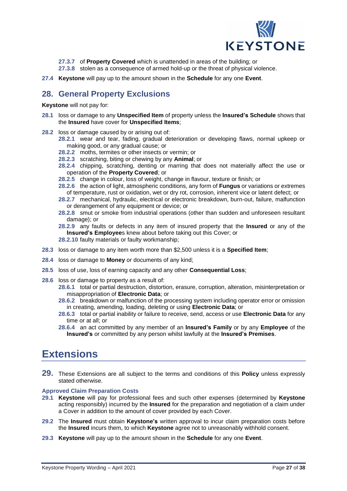

**27.3.7** of **Property Covered** which is unattended in areas of the building; or

- **27.3.8** stolen as a consequence of armed hold-up or the threat of physical violence.
- **27.4 Keystone** will pay up to the amount shown in the **Schedule** for any one **Event**.

# **28. General Property Exclusions**

**Keystone** will not pay for:

- **28.1** loss or damage to any **Unspecified Item** of property unless the **Insured's Schedule** shows that the **Insured** have cover for **Unspecified Items**;
- **28.2** loss or damage caused by or arising out of:
	- **28.2.1** wear and tear, fading, gradual deterioration or developing flaws, normal upkeep or making good, or any gradual cause; or
		- **28.2.2** moths, termites or other insects or vermin; or
		- **28.2.3** scratching, biting or chewing by any **Animal**; or
		- **28.2.4** chipping, scratching, denting or marring that does not materially affect the use or operation of the **Property Covered**; or
		- **28.2.5** change in colour, loss of weight, change in flavour, texture or finish; or
		- **28.2.6** the action of light, atmospheric conditions, any form of **Fungus** or variations or extremes of temperature, rust or oxidation, wet or dry rot, corrosion, inherent vice or latent defect; or
		- **28.2.7** mechanical, hydraulic, electrical or electronic breakdown, burn-out, failure, malfunction or derangement of any equipment or device; or
		- **28.2.8** smut or smoke from industrial operations (other than sudden and unforeseen resultant damage); or
		- **28.2.9** any faults or defects in any item of insured property that the **Insured** or any of the **Insured's Employee**s knew about before taking out this Cover; or
		- **28.2.10** faulty materials or faulty workmanship;
- **28.3** loss or damage to any item worth more than \$2,500 unless it is a **Specified Item**;
- **28.4** loss or damage to **Money** or documents of any kind;
- **28.5** loss of use, loss of earning capacity and any other **Consequential Loss**;
- **28.6** loss or damage to property as a result of:
	- **28.6.1** total or partial destruction, distortion, erasure, corruption, alteration, misinterpretation or misappropriation of **Electronic Data**; or
	- **28.6.2** breakdown or malfunction of the processing system including operator error or omission in creating, amending, loading, deleting or using **Electronic Data**; or
	- **28.6.3** total or partial inability or failure to receive, send, access or use **Electronic Data** for any time or at all; or
	- **28.6.4** an act committed by any member of an **Insured's Family** or by any **Employee** of the **Insured's** or committed by any person whilst lawfully at the **Insured's Premises**.

# <span id="page-26-0"></span>**Extensions**

**29.** These Extensions are all subject to the terms and conditions of this **Policy** unless expressly stated otherwise.

### **Approved Claim Preparation Costs**

- **29.1 Keystone** will pay for professional fees and such other expenses (determined by **Keystone** acting responsibly) incurred by the **Insured** for the preparation and negotiation of a claim under a Cover in addition to the amount of cover provided by each Cover.
- **29.2** The **Insured** must obtain **Keystone's** written approval to incur claim preparation costs before the **Insured** incurs them, to which **Keystone** agree not to unreasonably withhold consent.
- **29.3 Keystone** will pay up to the amount shown in the **Schedule** for any one **Event**.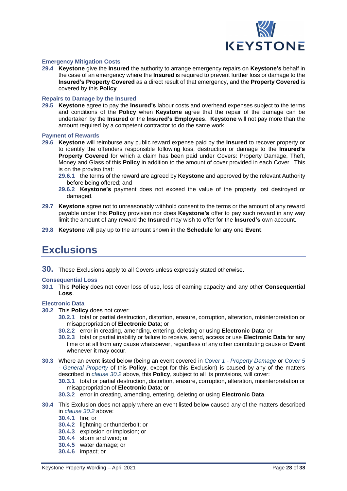

### **Emergency Mitigation Costs**

**29.4 Keystone** give the **Insured** the authority to arrange emergency repairs on **Keystone's** behalf in the case of an emergency where the **Insured** is required to prevent further loss or damage to the **Insured's Property Covered** as a direct result of that emergency, and the **Property Covered** is covered by this **Policy**.

### **Repairs to Damage by the Insured**

**29.5 Keystone** agree to pay the **Insured's** labour costs and overhead expenses subject to the terms and conditions of the **Policy** when **Keystone** agree that the repair of the damage can be undertaken by the **Insured** or the **Insured's Employees**. **Keystone** will not pay more than the amount required by a competent contractor to do the same work.

### **Payment of Rewards**

- **29.6 Keystone** will reimburse any public reward expense paid by the **Insured** to recover property or to identify the offenders responsible following loss, destruction or damage to the **Insured's Property Covered** for which a claim has been paid under Covers: Property Damage, Theft, Money and Glass of this **Policy** in addition to the amount of cover provided in each Cover. This is on the proviso that:
	- **29.6.1** the terms of the reward are agreed by **Keystone** and approved by the relevant Authority before being offered; and
	- **29.6.2 Keystone's** payment does not exceed the value of the property lost destroyed or damaged.
- **29.7 Keystone** agree not to unreasonably withhold consent to the terms or the amount of any reward payable under this **Policy** provision nor does **Keystone's** offer to pay such reward in any way limit the amount of any reward the **Insured** may wish to offer for the **Insured's** own account.
- <span id="page-27-0"></span>**29.8 Keystone** will pay up to the amount shown in the **Schedule** for any one **Event**.

# **Exclusions**

**30.** These Exclusions apply to all Covers unless expressly stated otherwise.

### **Consequential Loss**

**30.1** This **Policy** does not cover loss of use, loss of earning capacity and any other **Consequential Loss**.

### **Electronic Data**

- **30.2** This **Policy** does not cover:
	- **30.2.1** total or partial destruction, distortion, erasure, corruption, alteration, misinterpretation or misappropriation of **Electronic Data**; or
	- **30.2.2** error in creating, amending, entering, deleting or using **Electronic Data**; or
	- **30.2.3** total or partial inability or failure to receive, send, access or use **Electronic Data** for any time or at all from any cause whatsoever, regardless of any other contributing cause or **Event** whenever it may occur.
- **30.3** Where an event listed below (being an event covered in *Cover 1 - Property Damage* or *Cover 5 - General Property* of this **Policy**, except for this Exclusion) is caused by any of the matters described in *clause 30.2* above, this **Policy**, subject to all its provisions, will cover:
	- **30.3.1** total or partial destruction, distortion, erasure, corruption, alteration, misinterpretation or misappropriation of **Electronic Data**; or
	- **30.3.2** error in creating, amending, entering, deleting or using **Electronic Data**.
- **30.4** This Exclusion does not apply where an event listed below caused any of the matters described in *clause 30.2* above:
	- **30.4.1** fire; or
	- **30.4.2** lightning or thunderbolt; or
	- **30.4.3** explosion or implosion; or
	- **30.4.4** storm and wind; or
	- **30.4.5** water damage; or
	- **30.4.6** impact; or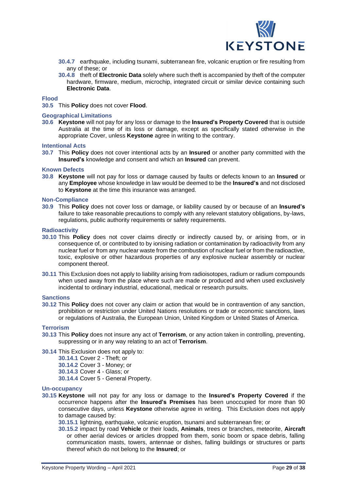

- **30.4.7** earthquake, including tsunami, subterranean fire, volcanic eruption or fire resulting from any of these; or
- **30.4.8** theft of **Electronic Data** solely where such theft is accompanied by theft of the computer hardware, firmware, medium, microchip, integrated circuit or similar device containing such **Electronic Data**.

### **Flood**

**30.5** This **Policy** does not cover **Flood**.

### **Geographical Limitations**

**30.6 Keystone** will not pay for any loss or damage to the **Insured's Property Covered** that is outside Australia at the time of its loss or damage, except as specifically stated otherwise in the appropriate Cover, unless **Keystone** agree in writing to the contrary.

### **Intentional Acts**

**30.7** This **Policy** does not cover intentional acts by an **Insured** or another party committed with the **Insured's** knowledge and consent and which an **Insured** can prevent.

### **Known Defects**

**30.8 Keystone** will not pay for loss or damage caused by faults or defects known to an **Insured** or any **Employee** whose knowledge in law would be deemed to be the **Insured's** and not disclosed to **Keystone** at the time this insurance was arranged.

### **Non-Compliance**

**30.9** This **Policy** does not cover loss or damage, or liability caused by or because of an **Insured's** failure to take reasonable precautions to comply with any relevant statutory obligations, by-laws, regulations, public authority requirements or safety requirements.

### **Radioactivity**

- **30.10** This **Policy** does not cover claims directly or indirectly caused by, or arising from, or in consequence of, or contributed to by ionising radiation or contamination by radioactivity from any nuclear fuel or from any nuclear waste from the combustion of nuclear fuel or from the radioactive, toxic, explosive or other hazardous properties of any explosive nuclear assembly or nuclear component thereof.
- **30.11** This Exclusion does not apply to liability arising from radioisotopes, radium or radium compounds when used away from the place where such are made or produced and when used exclusively incidental to ordinary industrial, educational, medical or research pursuits.

### **Sanctions**

**30.12** This **Policy** does not cover any claim or action that would be in contravention of any sanction, prohibition or restriction under United Nations resolutions or trade or economic sanctions, laws or regulations of Australia, the European Union, United Kingdom or United States of America.

### **Terrorism**

- **30.13** This **Policy** does not insure any act of **Terrorism**, or any action taken in controlling, preventing, suppressing or in any way relating to an act of **Terrorism**.
- **30.14** This Exclusion does not apply to:
	- **30.14.1** Cover 2 Theft; or
	- **30.14.2** Cover 3 Money; or
	- **30.14.3** Cover 4 Glass; or
	- **30.14.4** Cover 5 General Property.

### **Un-occupancy**

- **30.15 Keystone** will not pay for any loss or damage to the **Insured's Property Covered** if the occurrence happens after the **Insured's Premises** has been unoccupied for more than 90 consecutive days, unless **Keystone** otherwise agree in writing. This Exclusion does not apply to damage caused by:
	- **30.15.1** lightning, earthquake, volcanic eruption, tsunami and subterranean fire; or
	- **30.15.2** impact by road **Vehicle** or their loads, **Animals**, trees or branches, meteorite, **Aircraft** or other aerial devices or articles dropped from them, sonic boom or space debris, falling communication masts, towers, antennae or dishes, falling buildings or structures or parts thereof which do not belong to the **Insured**; or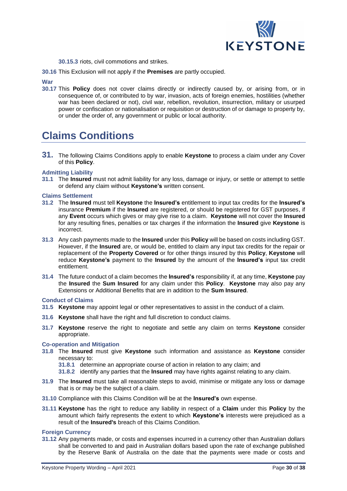

- **30.15.3** riots, civil commotions and strikes.
- **30.16** This Exclusion will not apply if the **Premises** are partly occupied.

**War**

**30.17** This **Policy** does not cover claims directly or indirectly caused by, or arising from, or in consequence of, or contributed to by war, invasion, acts of foreign enemies, hostilities (whether war has been declared or not), civil war, rebellion, revolution, insurrection, military or usurped power or confiscation or nationalisation or requisition or destruction of or damage to property by, or under the order of, any government or public or local authority.

# <span id="page-29-0"></span>**Claims Conditions**

**31.** The following Claims Conditions apply to enable **Keystone** to process a claim under any Cover of this **Policy**.

### **Admitting Liability**

**31.1** The **Insured** must not admit liability for any loss, damage or injury, or settle or attempt to settle or defend any claim without **Keystone's** written consent.

### **Claims Settlement**

- **31.2** The **Insured** must tell **Keystone** the **Insured's** entitlement to input tax credits for the **Insured's** insurance **Premium** if the **Insured** are registered, or should be registered for GST purposes, if any **Event** occurs which gives or may give rise to a claim. **Keystone** will not cover the **Insured** for any resulting fines, penalties or tax charges if the information the **Insured** give **Keystone** is incorrect.
- **31.3** Any cash payments made to the **Insured** under this **Policy** will be based on costs including GST. However, if the **Insured** are, or would be, entitled to claim any input tax credits for the repair or replacement of the **Property Covered** or for other things insured by this **Policy**, **Keystone** will reduce **Keystone's** payment to the **Insured** by the amount of the **Insured's** input tax credit entitlement.
- **31.4** The future conduct of a claim becomes the **Insured's** responsibility if, at any time, **Keystone** pay the **Insured** the **Sum Insured** for any claim under this **Policy**. **Keystone** may also pay any Extensions or Additional Benefits that are in addition to the **Sum Insured**.

### **Conduct of Claims**

- **31.5 Keystone** may appoint legal or other representatives to assist in the conduct of a claim.
- **31.6 Keystone** shall have the right and full discretion to conduct claims.
- **31.7 Keystone** reserve the right to negotiate and settle any claim on terms **Keystone** consider appropriate.

### **Co-operation and Mitigation**

- **31.8** The **Insured** must give **Keystone** such information and assistance as **Keystone** consider necessary to:
	- **31.8.1** determine an appropriate course of action in relation to any claim; and
	- **31.8.2** identify any parties that the **Insured** may have rights against relating to any claim.
- **31.9** The **Insured** must take all reasonable steps to avoid, minimise or mitigate any loss or damage that is or may be the subject of a claim.
- **31.10** Compliance with this Claims Condition will be at the **Insured's** own expense.
- **31.11 Keystone** has the right to reduce any liability in respect of a **Claim** under this **Policy** by the amount which fairly represents the extent to which **Keystone's** interests were prejudiced as a result of the **Insured's** breach of this Claims Condition.

### **Foreign Currency**

**31.12** Any payments made, or costs and expenses incurred in a currency other than Australian dollars shall be converted to and paid in Australian dollars based upon the rate of exchange published by the Reserve Bank of Australia on the date that the payments were made or costs and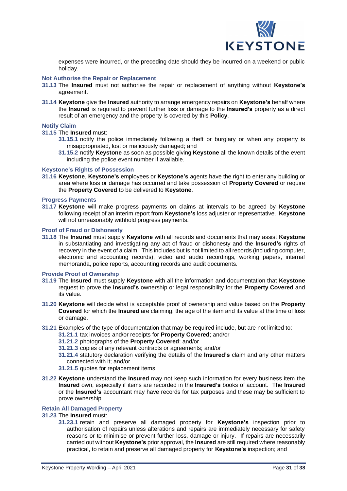

expenses were incurred, or the preceding date should they be incurred on a weekend or public holiday.

### **Not Authorise the Repair or Replacement**

- **31.13** The **Insured** must not authorise the repair or replacement of anything without **Keystone's** agreement.
- **31.14 Keystone** give the **Insured** authority to arrange emergency repairs on **Keystone's** behalf where the **Insured** is required to prevent further loss or damage to the **Insured's** property as a direct result of an emergency and the property is covered by this **Policy**.

### **Notify Claim**

**31.15** The **Insured** must:

- **31.15.1** notify the police immediately following a theft or burglary or when any property is misappropriated, lost or maliciously damaged; and
- **31.15.2** notify **Keystone** as soon as possible giving **Keystone** all the known details of the event including the police event number if available.

### **Keystone's Rights of Possession**

**31.16 Keystone**, **Keystone's** employees or **Keystone's** agents have the right to enter any building or area where loss or damage has occurred and take possession of **Property Covered** or require the **Property Covered** to be delivered to **Keystone**.

### **Progress Payments**

**31.17 Keystone** will make progress payments on claims at intervals to be agreed by **Keystone** following receipt of an interim report from **Keystone's** loss adjuster or representative. **Keystone** will not unreasonably withhold progress payments.

### **Proof of Fraud or Dishonesty**

**31.18** The **Insured** must supply **Keystone** with all records and documents that may assist **Keystone** in substantiating and investigating any act of fraud or dishonesty and the **Insured's** rights of recovery in the event of a claim. This includes but is not limited to all records (including computer, electronic and accounting records), video and audio recordings, working papers, internal memoranda, police reports, accounting records and audit documents.

### **Provide Proof of Ownership**

- **31.19** The **Insured** must supply **Keystone** with all the information and documentation that **Keystone** request to prove the **Insured's** ownership or legal responsibility for the **Property Covered** and its value.
- **31.20 Keystone** will decide what is acceptable proof of ownership and value based on the **Property Covered** for which the **Insured** are claiming, the age of the item and its value at the time of loss or damage.
- **31.21** Examples of the type of documentation that may be required include, but are not limited to:
	- **31.21.1** tax invoices and/or receipts for **Property Covered**; and/or
		- **31.21.2** photographs of the **Property Covered**; and/or
		- **31.21.3** copies of any relevant contracts or agreements; and/or
	- **31.21.4** statutory declaration verifying the details of the **Insured's** claim and any other matters connected with it; and/or
	- **31.21.5** quotes for replacement items.
- **31.22 Keystone** understand the **Insured** may not keep such information for every business item the **Insured** own, especially if items are recorded in the **Insured's** books of account. The **Insured** or the **Insured's** accountant may have records for tax purposes and these may be sufficient to prove ownership.

### **Retain All Damaged Property**

### **31.23** The **Insured** must:

**31.23.1** retain and preserve all damaged property for **Keystone's** inspection prior to authorisation of repairs unless alterations and repairs are immediately necessary for safety reasons or to minimise or prevent further loss, damage or injury. If repairs are necessarily carried out without **Keystone's** prior approval, the **Insured** are still required where reasonably practical, to retain and preserve all damaged property for **Keystone's** inspection; and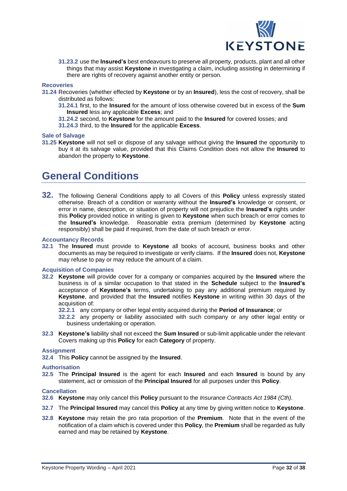

**31.23.2** use the **Insured's** best endeavours to preserve all property, products, plant and all other things that may assist **Keystone** in investigating a claim, including assisting in determining if there are rights of recovery against another entity or person.

### **Recoveries**

- **31.24** Recoveries (whether effected by **Keystone** or by an **Insured**), less the cost of recovery, shall be distributed as follows:
	- **31.24.1** first, to the **Insured** for the amount of loss otherwise covered but in excess of the **Sum Insured** less any applicable **Excess**; and
	- **31.24.2** second, to **Keystone** for the amount paid to the **Insured** for covered losses; and
	- **31.24.3** third, to the **Insured** for the applicable **Excess**.

### **Sale of Salvage**

**31.25 Keystone** will not sell or dispose of any salvage without giving the **Insured** the opportunity to buy it at its salvage value, provided that this Claims Condition does not allow the **Insured** to abandon the property to **Keystone**.

# <span id="page-31-0"></span>**General Conditions**

**32.** The following General Conditions apply to all Covers of this **Policy** unless expressly stated otherwise. Breach of a condition or warranty without the **Insured's** knowledge or consent, or error in name, description, or situation of property will not prejudice the **Insured's** rights under this **Policy** provided notice in writing is given to **Keystone** when such breach or error comes to the **Insured's** knowledge. Reasonable extra premium (determined by **Keystone** acting responsibly) shall be paid if required, from the date of such breach or error.

### **Accountancy Records**

**32.1** The **Insured** must provide to **Keystone** all books of account, business books and other documents as may be required to investigate or verify claims. If the **Insured** does not, **Keystone** may refuse to pay or may reduce the amount of a claim.

### **Acquisition of Companies**

- **32.2 Keystone** will provide cover for a company or companies acquired by the **Insured** where the business is of a similar occupation to that stated in the **Schedule** subject to the **Insured's** acceptance of **Keystone's** terms, undertaking to pay any additional premium required by **Keystone**, and provided that the **Insured** notifies **Keystone** in writing within 30 days of the acquisition of:
	- **32.2.1** any company or other legal entity acquired during the **Period of Insurance**; or
	- **32.2.2** any property or liability associated with such company or any other legal entity or business undertaking or operation.
- **32.3 Keystone's** liability shall not exceed the **Sum Insured** or sub-limit applicable under the relevant Covers making up this **Policy** for each **Category** of property.

### **Assignment**

**32.4** This **Policy** cannot be assigned by the **Insured**.

### **Authorisation**

**32.5** The **Principal Insured** is the agent for each **Insured** and each **Insured** is bound by any statement, act or omission of the **Principal Insured** for all purposes under this **Policy**.

### **Cancellation**

- **32.6 Keystone** may only cancel this **Policy** pursuant to the *Insurance Contracts Act 1984 (Cth).*
- **32.7** The **Principal Insured** may cancel this **Policy** at any time by giving written notice to **Keystone**.
- **32.8 Keystone** may retain the pro rata proportion of the **Premium**. Note that in the event of the notification of a claim which is covered under this **Policy**, the **Premium** shall be regarded as fully earned and may be retained by **Keystone**.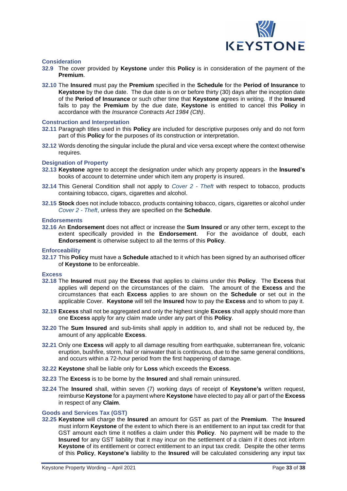

### **Consideration**

- **32.9** The cover provided by **Keystone** under this **Policy** is in consideration of the payment of the **Premium**.
- **32.10** The **Insured** must pay the **Premium** specified in the **Schedule** for the **Period of Insurance** to **Keystone** by the due date. The due date is on or before thirty (30) days after the inception date of the **Period of Insurance** or such other time that **Keystone** agrees in writing. If the **Insured** fails to pay the **Premium** by the due date, **Keystone** is entitled to cancel this **Policy** in accordance with the *Insurance Contracts Act 1984 (Cth)*.

### **Construction and Interpretation**

- **32.11** Paragraph titles used in this **Policy** are included for descriptive purposes only and do not form part of this **Policy** for the purposes of its construction or interpretation.
- **32.12** Words denoting the singular include the plural and vice versa except where the context otherwise requires.

### **Designation of Property**

- **32.13 Keystone** agree to accept the designation under which any property appears in the **Insured's** books of account to determine under which item any property is insured.
- **32.14** This General Condition shall not apply to *Cover 2 - Theft* with respect to tobacco, products containing tobacco, cigars, cigarettes and alcohol.
- **32.15 Stock** does not include tobacco, products containing tobacco, cigars, cigarettes or alcohol under *Cover 2 - Theft*, unless they are specified on the **Schedule**.

### **Endorsements**

**32.16** An **Endorsement** does not affect or increase the **Sum Insured** or any other term, except to the extent specifically provided in the **Endorsement**. For the avoidance of doubt, each **Endorsement** is otherwise subject to all the terms of this **Policy**.

### **Enforceability**

**32.17** This **Policy** must have a **Schedule** attached to it which has been signed by an authorised officer of **Keystone** to be enforceable.

### **Excess**

- **32.18** The **Insured** must pay the **Excess** that applies to claims under this **Policy**. The **Excess** that applies will depend on the circumstances of the claim. The amount of the **Excess** and the circumstances that each **Excess** applies to are shown on the **Schedule** or set out in the applicable Cover. **Keystone** will tell the **Insured** how to pay the **Excess** and to whom to pay it.
- **32.19 Excess** shall not be aggregated and only the highest single **Excess** shall apply should more than one **Excess** apply for any claim made under any part of this **Policy**.
- **32.20** The **Sum Insured** and sub-limits shall apply in addition to, and shall not be reduced by, the amount of any applicable **Excess**.
- **32.21** Only one **Excess** will apply to all damage resulting from earthquake, subterranean fire, volcanic eruption, bushfire, storm, hail or rainwater that is continuous, due to the same general conditions, and occurs within a 72-hour period from the first happening of damage.
- **32.22 Keystone** shall be liable only for **Loss** which exceeds the **Excess**.
- **32.23** The **Excess** is to be borne by the **Insured** and shall remain uninsured.
- **32.24** The **Insured** shall, within seven (7) working days of receipt of **Keystone's** written request, reimburse **Keystone** for apayment where **Keystone** have elected to pay all or part of the **Excess**  in respect of any **Claim**.

### **Goods and Services Tax (GST)**

**32.25 Keystone** will charge the **Insured** an amount for GST as part of the **Premium**. The **Insured** must inform **Keystone** of the extent to which there is an entitlement to an input tax credit for that GST amount each time it notifies a claim under this **Policy**. No payment will be made to the **Insured** for any GST liability that it may incur on the settlement of a claim if it does not inform **Keystone** of its entitlement or correct entitlement to an input tax credit. Despite the other terms of this **Policy**, **Keystone's** liability to the **Insured** will be calculated considering any input tax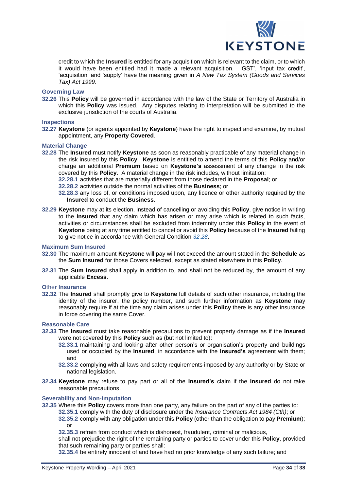

credit to which the **Insured** is entitled for any acquisition which is relevant to the claim, or to which it would have been entitled had it made a relevant acquisition. 'GST', 'input tax credit', 'acquisition' and 'supply' have the meaning given in *A New Tax System (Goods and Services Tax) Act 1999*.

### **Governing Law**

**32.26** This **Policy** will be governed in accordance with the law of the State or Territory of Australia in which this **Policy** was issued. Any disputes relating to interpretation will be submitted to the exclusive jurisdiction of the courts of Australia.

### **Inspections**

**32.27 Keystone** (or agents appointed by **Keystone**) have the right to inspect and examine, by mutual appointment, any **Property Covered**.

### **Material Change**

- **32.28** The **Insured** must notify **Keystone** as soon as reasonably practicable of any material change in the risk insured by this **Policy**. **Keystone** is entitled to amend the terms of this **Policy** and/or charge an additional **Premium** based on **Keystone's** assessment of any change in the risk covered by this **Policy**. A material change in the risk includes, without limitation:
	- **32.28.1** activities that are materially different from those declared in the **Proposal**; or
	- **32.28.2** activities outside the normal activities of the **Business**; or
	- **32.28.3** any loss of, or conditions imposed upon, any licence or other authority required by the **Insured** to conduct the **Business**.
- **32.29 Keystone** may at its election, instead of cancelling or avoiding this **Policy**, give notice in writing to the **Insured** that any claim which has arisen or may arise which is related to such facts, activities or circumstances shall be excluded from indemnity under this **Policy** in the event of **Keystone** being at any time entitled to cancel or avoid this **Policy** because of the **Insured** failing to give notice in accordance with General Condition *32.28*.

### **Maximum Sum Insured**

- **32.30** The maximum amount **Keystone** will pay will not exceed the amount stated in the **Schedule** as the **Sum Insured** for those Covers selected, except as stated elsewhere in this **Policy**.
- **32.31** The **Sum Insured** shall apply in addition to, and shall not be reduced by, the amount of any applicable **Excess**.

### **O**the**r Insurance**

**32.32** The **Insured** shall promptly give to **Keystone** full details of such other insurance, including the identity of the insurer, the policy number, and such further information as **Keystone** may reasonably require if at the time any claim arises under this **Policy** there is any other insurance in force covering the same Cover.

### **Reasonable Care**

- **32.33** The **Insured** must take reasonable precautions to prevent property damage as if the **Insured** were not covered by this **Policy** such as (but not limited to):
	- **32.33.1** maintaining and looking after other person's or organisation's property and buildings used or occupied by the **Insured**, in accordance with the **Insured's** agreement with them; and
	- **32.33.2** complying with all laws and safety requirements imposed by any authority or by State or national legislation.
- **32.34 Keystone** may refuse to pay part or all of the **Insured's** claim if the **Insured** do not take reasonable precautions.

### **Severability and Non-Imputation**

- **32.35** Where this **Policy** covers more than one party, any failure on the part of any of the parties to:
	- **32.35.1** comply with the duty of disclosure under the *Insurance Contracts Act 1984 (Cth)*; or
	- **32.35.2** comply with any obligation under this **Policy** (other than the obligation to pay **Premium**); or
	- **32.35.3** refrain from conduct which is dishonest, fraudulent, criminal or malicious,

shall not prejudice the right of the remaining party or parties to cover under this **Policy**, provided that such remaining party or parties shall:

**32.35.4** be entirely innocent of and have had no prior knowledge of any such failure; and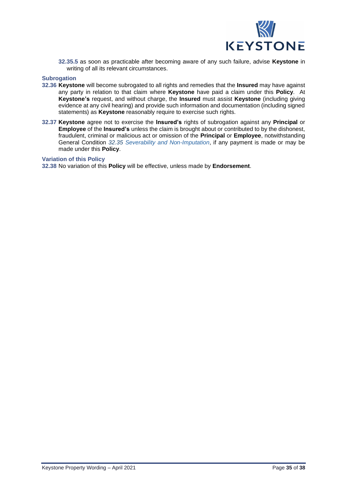

**32.35.5** as soon as practicable after becoming aware of any such failure, advise **Keystone** in writing of all its relevant circumstances.

### **Subrogation**

- **32.36 Keystone** will become subrogated to all rights and remedies that the **Insured** may have against any party in relation to that claim where **Keystone** have paid a claim under this **Policy**. At **Keystone's** request, and without charge, the **Insured** must assist **Keystone** (including giving evidence at any civil hearing) and provide such information and documentation (including signed statements) as **Keystone** reasonably require to exercise such rights.
- **32.37 Keystone** agree not to exercise the **Insured's** rights of subrogation against any **Principal** or **Employee** of the **Insured's** unless the claim is brought about or contributed to by the dishonest, fraudulent, criminal or malicious act or omission of the **Principal** or **Employee**, notwithstanding General Condition *32.35 Severability and Non-Imputation*, if any payment is made or may be made under this **Policy**.

### **Variation of this Policy**

**32.38** No variation of this **Policy** will be effective, unless made by **Endorsement**.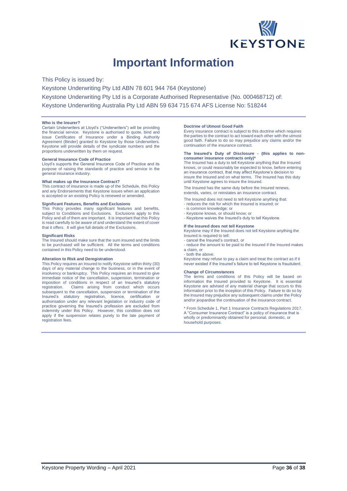

# **Important Information**

<span id="page-35-0"></span>This Policy is issued by: Keystone Underwriting Pty Ltd ABN 78 601 944 764 (Keystone) Keystone Underwriting Pty Ltd is a Corporate Authorised Representative (No. 000468712) of: Keystone Underwriting Australia Pty Ltd ABN 59 634 715 674 AFS License No: 518244

#### **Who is the Insurer?**

Certain Underwriters at Lloyd's ("Underwriters") will be providing the financial service. Keystone is authorised to quote, bind and issue Certificates of Insurance under a Binding Authority Agreement (Binder) granted to Keystone by those Underwriters. Keystone will provide details of the syndicate numbers and the proportions underwritten by them on request.

#### **General Insurance Code of Practice**

Lloyd's supports the General Insurance Code of Practice and its purpose of raising the standards of practice and service in the general insurance industry.

#### **What makes up the Insurance Contract?**

This contract of insurance is made up of the Schedule, this Policy and any Endorsements that Keystone issues when an application is accepted or an existing Policy is renewed or amended.

#### **Significant Features, Benefits and Exclusions**

This Policy provides many significant features and benefits, subject to Conditions and Exclusions. Exclusions apply to this Policy and all of them are important. It is important that this Policy is read carefully to be aware of and understand the extent of cover that it offers. It will give full details of the Exclusions.

#### **Significant Risks**

The Insured should make sure that the sum insured and the limits to be purchased will be sufficient. All the terms and conditions contained in this Policy need to be understood.

#### **Alteration to Risk and Deregistration**

This Policy requires an Insured to notify Keystone within thirty (30) days of any material change to the business, or in the event of insolvency or bankruptcy. This Policy requires an Insured to give immediate notice of the cancellation, suspension, termination or imposition of conditions in respect of an Insured's statutory registration. Claims arising from conduct which occurs subsequent to the cancellation, suspension or termination of the Insured's statutory registration, licence, certification or authorisation under any relevant legislation or industry code of practice governing the Insured's profession are excluded from indemnity under this Policy. However, this condition does not apply if the suspension relates purely to the late payment of registration fees.

#### **Doctrine of Utmost Good Faith**

Every insurance contract is subject to this doctrine which requires the parties to the contract to act toward each other with the utmost good faith. Failure to do so may prejudice any claims and/or the continuation of the insurance contract.

#### **The Insured's Duty of Disclosure - (this applies to nonconsumer insurance contracts only)\***

The Insured has a duty to tell Keystone anything that the Insured knows, or could reasonably be expected to know, before entering an insurance contract, that may affect Keystone's decision to insure the Insured and on what terms. The Insured has this duty until Keystone agrees to insure the Insured.

The Insured has the same duty before the Insured renews, extends, varies, or reinstates an insurance contrac

The Insured does not need to tell Keystone anything that: - reduces the risk for which the Insured is insured; or

- is common knowledge; or
- Keystone knows, or should know; or

- Keystone waives the Insured's duty to tell Keystone.

#### **If the Insured does not tell Keystone**

Keystone may if the Insured does not tell Keystone anything the Insured is required to tell:

- cancel the Insured's contract, or

- reduce the amount to be paid to the Insured if the Insured makes a claim, or

- both the above.

Keystone may refuse to pay a claim and treat the contract as if it never existed if the Insured's failure to tell Keystone is fraudulent.

#### **Change of Circumstances**

The terms and conditions of this Policy will be based on information the Insured provided to Keystone. It is essential Keystone are advised of any material change that occurs to this information prior to the inception of this Policy. Failure to do so by the Insured may prejudice any subsequent claims under the Policy and/or jeopardise the continuation of the insurance contract.

\* From Schedule 1, Part 1 Insurance Contracts Regulations 2017. A "Consumer Insurance Contract" is a policy of insurance that is wholly or predominantly obtained for personal, domestic, or household purposes.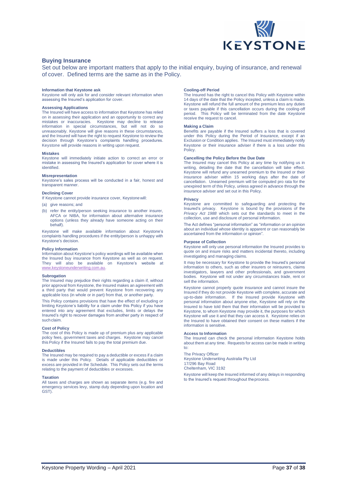

### **Buying Insurance**

Set out below are important matters that apply to the initial enquiry, buying of insurance, and renewal of cover. Defined terms are the same as in the Policy.

#### **Information that Keystone ask**

Keystone will only ask for and consider relevant information when assessing the Insured's application for cover.

#### **Assessing Applications**

The Insured will have access to information that Keystone has relied on in assessing their application and an opportunity to correct any mistakes or inaccuracies. Keystone may decline to release information in special circumstances, but will not do so unreasonably. Keystone will give reasons in these circumstances, and the Insured will have the right to request Keystone to review the decision through Keystone's complaints handling procedures. Keystone will provide reasons in writing upon request.

#### **Mistakes**

Keystone will immediately initiate action to correct an error or mistake in assessing the Insured's application for cover where it is identified.

#### **Misrepresentation**

Keystone's sales process will be conducted in a fair, honest and transparent manner.

#### **Declining Cover**

If Keystone cannot provide insurance cover, Keystonewill:

- (a) give reasons; and
- (b) refer the entity/person seeking insurance to another insurer, AFCA or NIBA, for information about alternative insurance options (unless they already have someone acting on their behalf).

Keystone will make available information about Keystone's complaints handling procedures if the entity/person is unhappy with Keystone's decision.

#### **Policy Information**

Information about Keystone's policy wordings will be available when the Insured buy insurance from Keystone as well as on request. They will also be available on Keystone's website at [www.keystoneunderwriting.com.au.](http://www.keystoneunderwriting.com.au/)

#### **Subrogation**

The Insured may prejudice their rights regarding a claim if, without prior approval from Keystone, the Insured makes an agreement with a third party that would prevent Keystone from recovering any applicable loss (in whole or in part) from that, or another party.

This Policy contains provisions that have the effect of excluding or limiting Keystone's liability for a claim under this Policy if you have entered into any agreement that excludes, limits or delays the Insured's right to recover damages from another party in respect of such claim.

#### **Cost of Policy**

The cost of this Policy is made up of premium plus any applicable policy fees, government taxes and charges. Keystone may cancel this Policy if the Insured fails to pay the total premium due.

#### **Deductibles**

The Insured may be required to pay a deductible or excess if a claim is made under this Policy. Details of applicable deductibles or excess are provided in the Schedule. This Policy sets out the terms relating to the payment of deductibles or excesses.

#### **Taxation**

All taxes and charges are shown as separate items (e.g. fire and emergency services levy, stamp duty depending upon location and GST).

#### **Cooling-off Period**

The Insured has the right to cancel this Policy with Keystone within 14 days of the date that the Policy incepted, unless a claim is made. Keystone will refund the full amount of the premium less any duties or taxes payable if this cancellation occurs during the cooling-off period. This Policy will be terminated from the date Keystone receive the request to cancel.

#### **Making a Claim**

Benefits are payable if the Insured suffers a loss that is covered under this Policy during the Period of Insurance, except if an Exclusion or Condition applies. The Insured must immediately notify Keystone or their insurance adviser if there is a loss under this Policy.

#### **Cancelling the Policy Before the Due Date**

The Insured may cancel this Policy at any time by notifying us in writing, detailing the date that the cancellation will take effect. Keystone will refund any unearned premium to the Insured or their insurance adviser within 15 working days after the date of cancellation. Unearned premium will be computed pro rata for the unexpired term of this Policy, unless agreed in advance through the insurance adviser and set out in this Policy.

### **Privacy**

Keystone are committed to safeguarding and protecting the Insured's privacy. Keystone is bound by the provisions of the *Privacy Act 1988* which sets out the standards to meet in the collection, use and disclosure of personal information.

The Act defines "personal information" as "information or an opinion about an individual whose identity is apparent or can reasonably be ascertained from the information or opinion".

#### **Purpose of Collection**

Keystone will only use personal information the Insured provides to quote on and insure risks and matters incidental thereto, including investigating and managing claims.

It may be necessary for Keystone to provide the Insured's personal information to others, such as other insurers or reinsurers, claims investigators, lawyers and other professionals, and government bodies. Keystone will not under any circumstances trade, rent or sell the information.

Keystone cannot properly quote insurance and cannot insure the Insured if they do not provide Keystone with complete, accurate and up-to-date information. If the Insured provide Keystone with personal information about anyone else, Keystone will rely on the Insured to have told them that their information will be provided to Keystone, to whom Keystone may provide it, the purposes for which Keystone will use it and that they can access it. Keystone relies on the Insured to have obtained their consent on these matters if the information is sensitive.

#### **Access to Information**

The Insured can check the personal information Keystone holds about them at any time. Requests for access can be made in writing to:

#### The Privacy Officer

Keystone Underwriting Australia Pty Ltd 17/296 Bay Road Cheltenham, VIC 3192

Keystone will keep the Insured informed of any delays in responding to the Insured's request throughout theprocess.